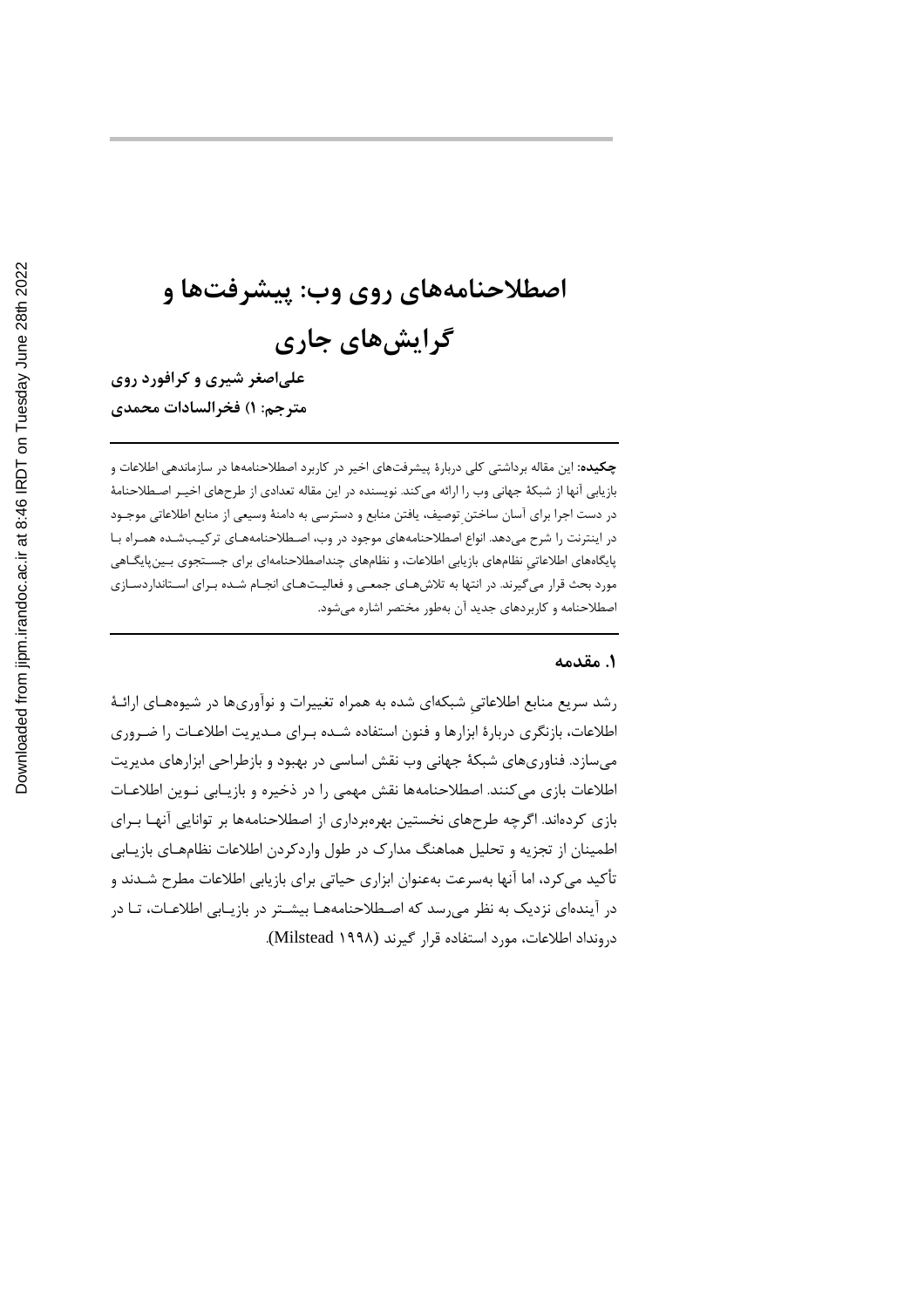# اصطلاحنامههای روی وب: پیشرفتها و گرایشهای جاری

علياصغر شيري و کرافورد روي مترجم: ١) فخرالسادات محمدي

**چکیده:** این مقاله برداشتی کلی دربارهٔ پیشرفتهای اخیر در کاربرد اصطلاحنامهها در سازماندهی اطلاعات و بازیابی آنها از شبکهٔ جهانی وب را ارائه می کند. نویسنده در این مقاله تعدادی از طرحهای اخیـر اصـطلاحنامهٔ در دست اجرا برای آسان ساختن توصیف، یافتن منابع و دسترسی به دامنهٔ وسیعی از منابع اطلاعاتی موجـود در اینترنت را شرح می۵هد. انواع اصطلاحنامههای موجود در وب، اصطلاحنامههـای ترکیـبشـده همـراه بـا پایگاههای اطلاعاتی نظامهای بازیابی اطلاعات، و نظامهای چنداصطلاحنامهای برای جسـتجوی بـین،پایگــاهی مورد بحث قرار میگیرند. در انتها به تلاشهای جمعی و فعالیـتهـای انجـام شـده بـرای اسـتانداردسـازی اصطلاحنامه و کاربردهای جدید آن بهطور مختصر اشاره میشود.

#### ۱. مقدمه

رشد سریع منابع اطلاعاتی شبکهای شده به همراه تغییرات و نوآوریها در شیوههـای ارائـهٔ اطلاعات، بازنگری دربارهٔ ابزارها و فنون استفاده شـده بـرای مـدیریت اطلاعـات را ضـروری مے سازد. فناوری های شبکهٔ جهانی وب نقش اساسی در پهبود و بازطراحی ابزارهای مدیریت اطلاعات بازی می کنند. اصطلاحنامهها نقش مهمی را در ذخیره و بازیـابی نـوین اطلاعـات بازی کردهاند. اگرچه طرحهای نخستین بهرهبرداری از اصطلاحنامهها بر توانایی آنهـا بـرای اطمینان از تجزیه و تحلیل هماهنگ مدارک در طول واردکردن اطلاعات نظامهـای بازیـابی تأکید می کرد، اما آنها بهسرعت بهعنوان ابزاری حیاتی برای بازیابی اطلاعات مطرح شــدند و در آیندهای نزدیک به نظر می<sub>،</sub>رسد که اصـطلاحنامههـا بیشــتر در بازیــابی اطلاعــات، تــا در درونداد اطلاعات، مورد استفاده قرار گیرند (Milstead ۱۹۹۸).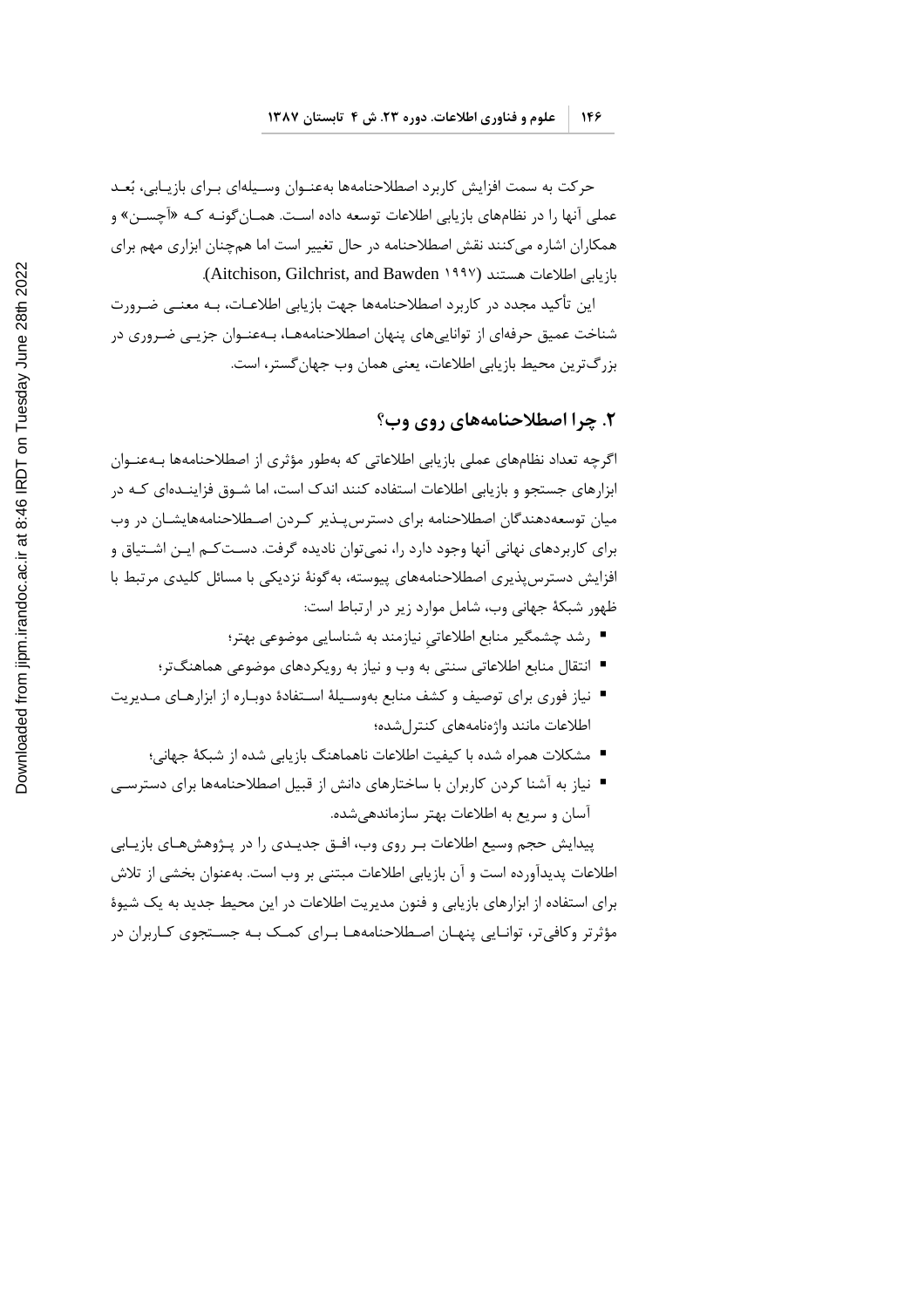حرکت به سمت افزایش کاربرد اصطلاحنامهها بهعنـوان وسـیلهای بـرای بازیـابی، بُعـد عملي آنها را در نظامهاي بازيابي اطلاعات توسعه داده است. همـان گونـه كـه «آچســن» و همکاران اشاره می کنند نقش اصطلاحنامه در حال تغییر است اما همچنان ابزاری مهم برای بازيابي اطلاعات هستند (Aitchison, Gilchrist, and Bawden 1997).

این تأکید مجدد در کاربرد اصطلاحنامهها جهت بازیابی اطلاعـات، بـه معنــی ضـرورت شناخت عمیق حرفهای از تواناییهای پنهان اصطلاحنامههـا، بـهعنـوان جزیــی ضـروری در بزرگترین محیط بازیابی اطلاعات، یعنی همان وب جهان گستر، است.

#### ٢. چرا اصطلاحنامههای روی وب؟

اگرچه تعداد نظامهای عملی بازیابی اطلاعاتی که بهطور مؤثری از اصطلاحنامهها بــهعنــوان ابزارهای جستجو و بازیابی اطلاعات استفاده کنند اندک است، اما شـوق فزاینـدهای کـه در میان توسعهدهندگان اصطلاحنامه برای دسترس بـذیر کـردن اصـطلاحنامههایشـان در وب برای کاربردهای نهانی آنها وجود دارد را، نمی¤وان نادیده گرفت. دسـتکـم ایـن اشـتیاق و افزایش دسترس پذیری اصطلاحنامههای پیوسته، به گونهٔ نزدیکی با مسائل کلیدی مرتبط با ظهور شبكهٔ جهانی وب، شامل موارد زیر در ارتباط است:

- رشد چشمگیر منابع اطلاعاتی نیازمند به شناسایی موضوعی بهتر؛
- انتقال منابع اطلاعاتی سنتی به وب و نیاز به رویکردهای موضوعی هماهنگتر؛
- نیاز فوری برای توصیف و کشف منابع بهوسـیلهٔ اسـتفادهٔ دوبـاره از ابزارهـای مـدیریت اطلاعات مانند واژهنامههای کنترل شده؛
	- مشكلات همراه شده با كيفيت اطلاعات ناهماهنگ بازيابي شده از شبكهٔ جهاني؛
- نیاز به آشنا کردن کاربران با ساختارهای دانش از قبیل اصطلاحنامهها برای دسترسـی آسان و سریع به اطلاعات بهتر سازماندهی شده.

پیدایش حجم وسیع اطلاعات بـر روی وب، افــق جدیــدی را در پــژوهشهــای بازیــابی اطلاعات پدیدآورده است و آن بازیابی اطلاعات مبتنی بر وب است. بهعنوان بخشی از تلاش برای استفاده از ابزارهای بازیابی و فنون مدیریت اطلاعات در این محیط جدید به یک شیوهٔ مؤثرتر وکافی تر، توانـایی پنهـان اصـطلاحنامههـا بـرای کمـک بـه جسـتجوی کـاربران در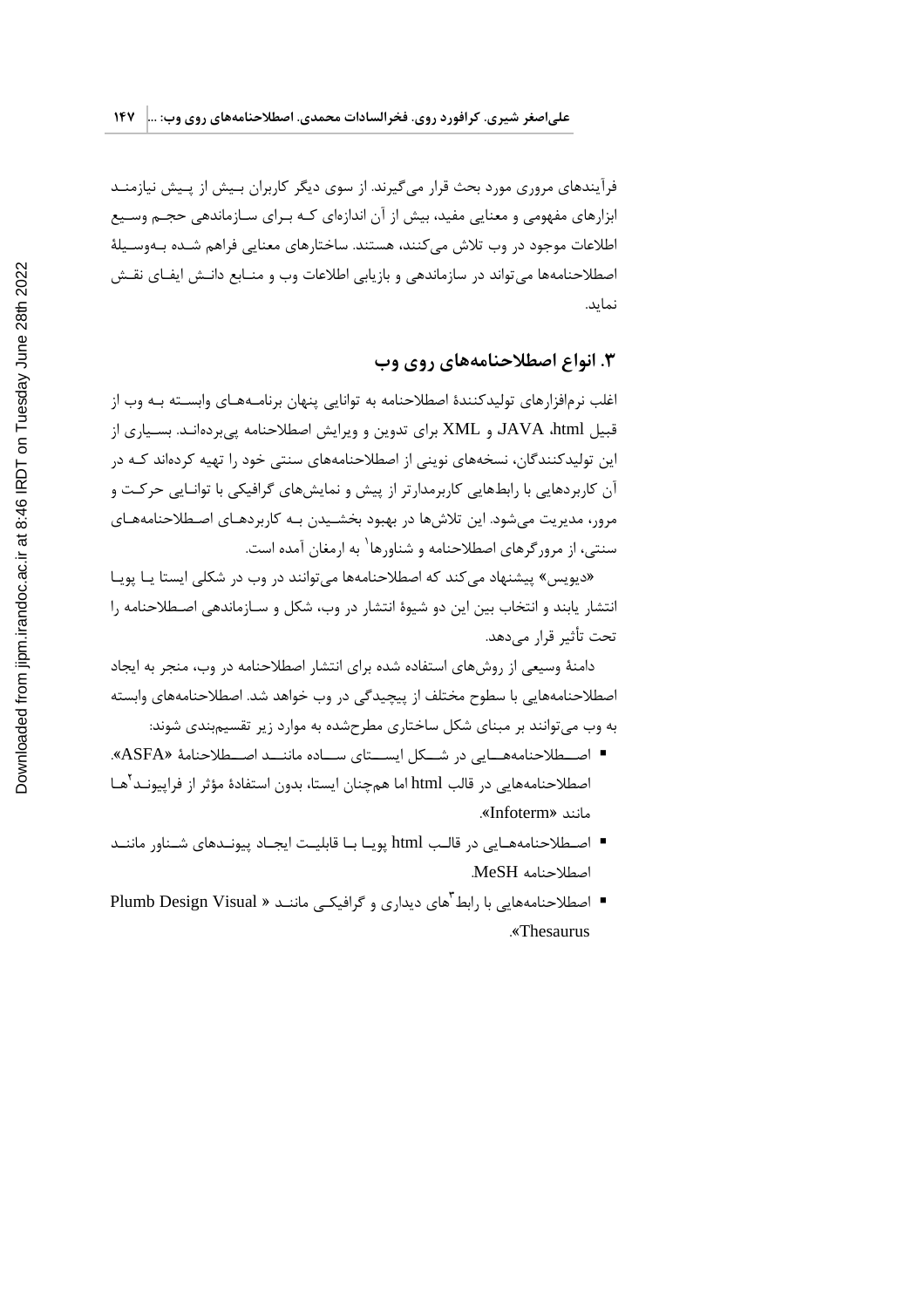فرآیندهای مروری مورد بحث قرار می گیرند. از سوی دیگر کاربران بـیش از پـیش نیازمنـد ابزارهای مفهومی و معنایی مفید، بیش از آن اندازهای کـه بـرای سـازماندهی حجـم وسـیع اطلاعات موجود در وب تلاش می کنند، هستند. ساختارهای معنایی فراهم شـده بـهوسـیلهٔ اصطلاحنامهها می تواند در سازماندهی و بازیابی اطلاعات وب و منـابع دانـش ایفـای نقـش نمايد.

### ۳. انواع اصطلاحنامههای روی وب

اغلب نرمافزارهای تولیدکنندهٔ اصطلاحنامه به توانایی پنهان برنامـههـای وابســته بـه وب از قبیل JAVA ،html و XML برای تدوین و ویرایش اصطلاحنامه یی بردهانـد. بسـیاری از این تولیدکنندگان، نسخههای نوینی از اصطلاحنامههای سنتی خود را تهیه کردهاند کـه در آن کاربردهایی با رابطهایی کاربرمدارتر از پیش و نمایشهای گرافیکی با توانـایی حرکـت و مرور، مديريت مي شود. اين تلاش ها در بهبود بخشـيدن بـه كاربردهـاي اصـطلاحنامههـاي سنتی، از مرورگرهای اصطلاحنامه و شناورها<sup>\</sup> به ارمغان آمده است.

«دیویس» پیشنهاد می کند که اصطلاحنامهها می توانند در وب در شکلی ایستا یـا یویـا انتشار پابند و انتخاب بین این دو شیوهٔ انتشار در وب، شکل و سـازماندهی اصـطلاحنامه را تحت تأثير قرار مے دهد.

دامنهٔ وسیعی از روش های استفاده شده برای انتشار اصطلاحنامه در وب، منجر به ایجاد اصطلاحنامههایی با سطوح مختلف از پیچیدگی در وب خواهد شد. اصطلاحنامههای وابسته به وب می توانند بر مبنای شکل ساختاری مطرحشده به موارد زیر تقسیم بندی شوند:

- اصطلاحنامههـايي در شـكل ايســتاي ســاده ماننــد اصــطلاحنامهٔ «ASFA». اصطلاحنامههایی در قالب html اما همچنان ایستا، بدون استفادهٔ مؤثر از فراییونـد<sup>۲</sup>هـا مانند «Infoterm».
- اصطلاحنامههـایی در قالـب html یویـا بـا قابلیـت ایجـاد پیونـدهای شـناور ماننـد اصطلاحنامه MeSH.
- اصطلاحنامههایی با رابط های دیداری و گرافیکـی ماننـد « Plumb Design Visual «Thesaurus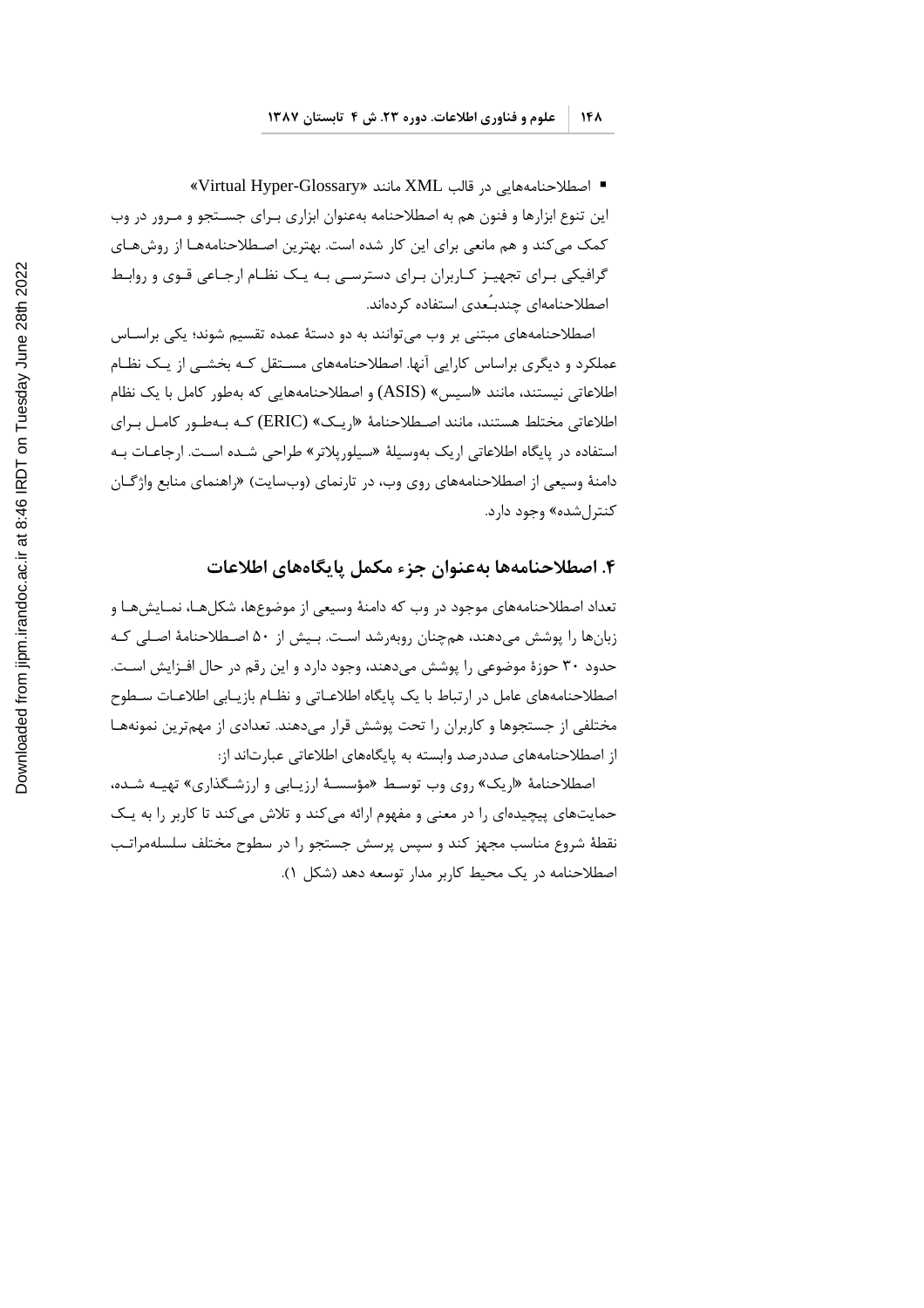■ اصطلاحنامههایی در قالب XML مانند «Virtual Hyper-Glossary» این تنوع ابزارها و فنون هم به اصطلاحنامه بهعنوان ابزاری برای جستجو و مرور در وب کمک می کند و هم مانعی برای این کار شده است. بهترین اصطلاحنامههـا از روشهـای گرافیکی بـرای تجهیـز کـاربران بـرای دسترسـی بـه یـک نظـام ارجـاعی قـوی و روابـط اصطلاحنامهای چندبـِّعدی استفاده کردهاند.

اصطلاحنامههای مبتنی بر وب می توانند به دو دستهٔ عمده تقسیم شوند؛ یکی براسـاس عملکرد و دیگری براساس کارایی آنها. اصطلاحنامههای مسـتقل کـه بخشـی از یـک نظـام اطلاعاتی نیستند، مانند «اسیس» (ASIS) و اصطلاحنامههایی که بهطور کامل با یک نظام اطلاعاتی مختلط هستند، مانند اصطلاحنامهٔ «اریـک» (ERIC) کـه بـهطـور کامـل بـرای استفاده در پایگاه اطلاعاتی اریک بهوسیلهٔ «سیلوریلاتر» طراحی شـده اسـت. ارجاعـات بـه دامنهٔ وسیعی از اصطلاحنامههای روی وب، در تارنمای (وبسایت) «راهنمای منابع واژگــان کنترل شده» وجود دارد.

#### ۴. اصطلاحنامهها بهعنوان جزء مكمل يايگاههاي اطلاعات

تعداد اصطلاحنامههای موجود در وب که دامنهٔ وسیعی از موضوعها، شکلهـا، نمـایشهـا و زبانها را پوشش می دهند، همچنان روبه شد است. بـیش از ۵۰ اصـطلاحنامهٔ اصـلی کـه حدود ۳۰ حوزهٔ موضوعی را پوشش میدهند، وجود دارد و این رقم در حال افـزایش اسـت. اصطلاحنامههای عامل در ارتباط با یک پایگاه اطلاعـاتی و نظـام بازیـابی اطلاعـات سـطوح مختلفی از جستجوها و کاربران را تحت پوشش قرار می۵هند. تعدادی از مهمترین نمونههـا از اصطلاحنامههای صددرصد وابسته به پایگاههای اطلاعاتی عبارتاند از:

اصطلاحنامهٔ «اریک» روی وب توسط «مؤسسهٔ ارزیابی و ارزشگذاری» تهیـه شـده، حمایتهای پیچیدهای را در معنی و مفهوم ارائه می کند و تلاش می کند تا کاربر را به یـک نقطهٔ شروع مناسب مجهز کند و سپس پرسش جستجو را در سطوح مختلف سلسلهمراتب اصطلاحنامه در یک محیط کاربر مدار توسعه دهد (شکل ۱).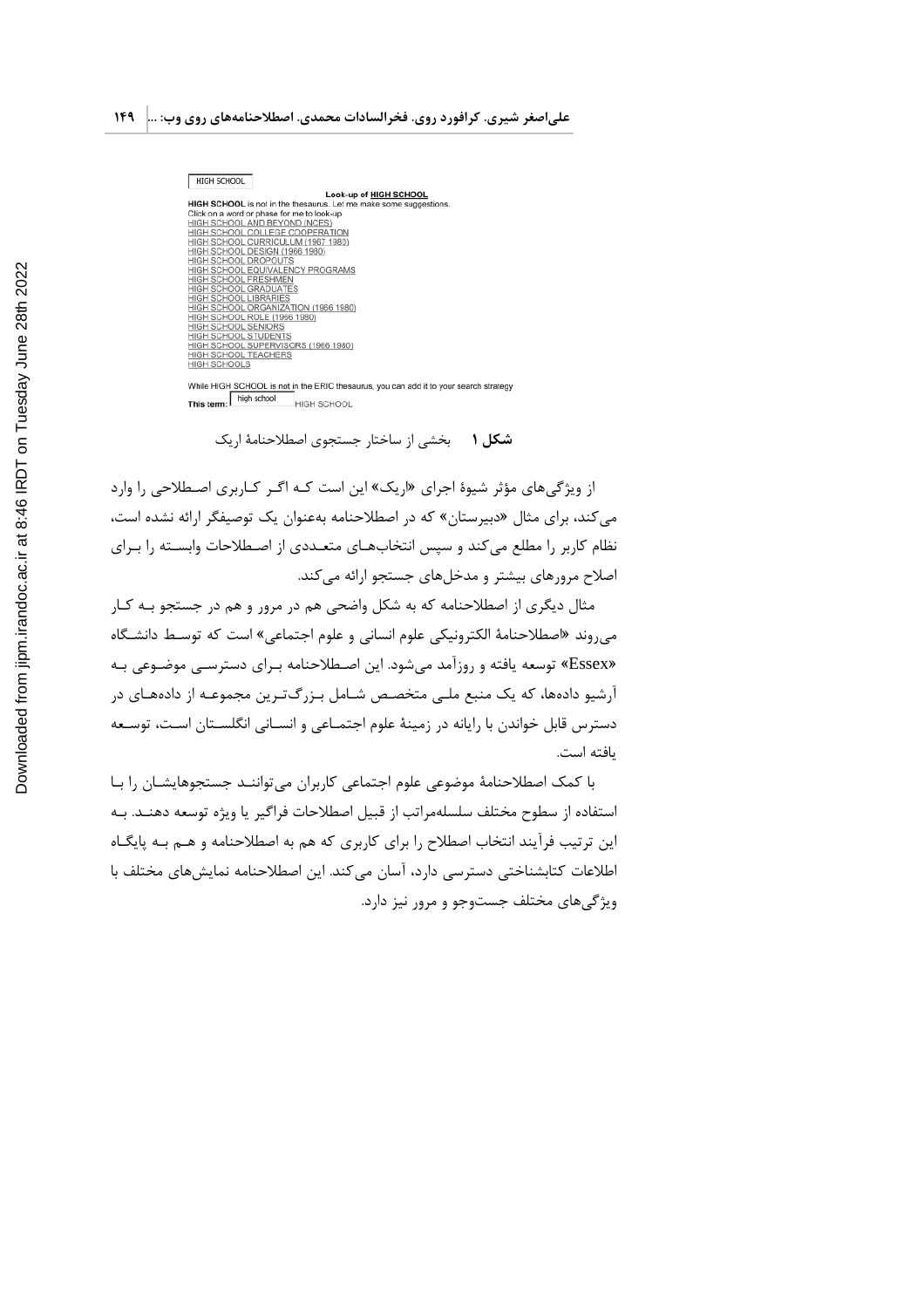| HIGH SCHOOL                                                        |
|--------------------------------------------------------------------|
| Look-up of HIGH SCHOOL                                             |
| HIGH SCHOOL is not in the thesaurus. Let me make some suggestions. |
| Click on a word or phase for me to look-up                         |
| HIGH SCHOOL AND BEYOND (NCES)                                      |
| HIGH SCHOOL COLLEGE COOPERATION                                    |
| HIGH SCHOOL CURRICULUM (1967 1980)                                 |
| HIGH SCHOOL DESIGN (1966 1980)                                     |
| HIGH SCHOOL DROPOUTS                                               |
| HIGH SCHOOL EQUIVALENCY PROGRAMS                                   |
| HIGH SCHOOL FRESHMEN                                               |
| <b>HIGH SCHOOL GRADUATES</b>                                       |
| HIGH SCHOOL LIBRARIES                                              |
| HIGH SCHOOL ORGANIZATION (1966 1980)                               |
| HIGH SCHOOL ROLE (1966 1980)                                       |
| <b>HIGH SCHOOL SENIORS</b>                                         |
| HIGH SCHOOL STUDENTS                                               |
| HIGH SCHOOL SUPERVISORS (1966 1980)                                |
| HIGH SCHOOL TEACHERS                                               |
| <b>HIGH SCHOOLS</b>                                                |
|                                                                    |

While HIGH SCHOOL is not in the ERIC thesaurus, you can add it to your search strategy<br>This term:  $\frac{1}{2}$  high school HIGH SCHOOL

**شکل ۱** بخشی از ساختار جستجوی اصطلاحنامهٔ اریک

از ویژگی های مؤثر شیوهٔ اجرای «اریک» این است کـه اگـر کـاربری اصـطلاحی را وارد می کند، برای مثال «دبیرستان» که در اصطلاحنامه بهعنوان یک توصیفگر ارائه نشده است، نظام کاربر را مطلع میکند و سپس انتخابهـای متعـددی از اصـطلاحات وابسـته را بـرای اصلاح مرورهای بیشتر و مدخلهای جستجو ارائه می کند.

مثال دیگری از اصطلاحنامه که به شکل واضحی هم در مرور و هم در جستجو بـه کـار مىروند «اصطلاحنامهٔ الكترونيكي علوم انساني و علوم اجتماعي» است كه توسط دانشگاه «Essex» توسعه یافته و روزآمد میشود. این اصطلاحنامه بـرای دسترسـی موضـوعی بـه آرشیو دادهها، که یک منبع ملـی متخصـص شـامل بـزرگتـرین مجموعـه از دادههـای در دسترس قابل خواندن با رایانه در زمینهٔ علوم اجتمـاعی و انسـانی انگلسـتان اسـت، توسـعه بافته است.

با کمک اصطلاحنامهٔ موضوعی علوم اجتماعی کاربران می تواننـد جستجوهایشـان را بـا استفاده از سطوح مختلف سلسلهمراتب از قبيل اصطلاحات فراگير يا ويژه توسعه دهنـد. بـه این ترتیب فرآیند انتخاب اصطلاح را برای کاربری که هم به اصطلاحنامه و هــم بــه پایگــاه اطلاعات كتابشناختى دسترسى دارد، آسان مى كند. اين اصطلاحنامه نمايش هاى مختلف با ویژگی های مختلف جستوجو و مرور نیز دارد.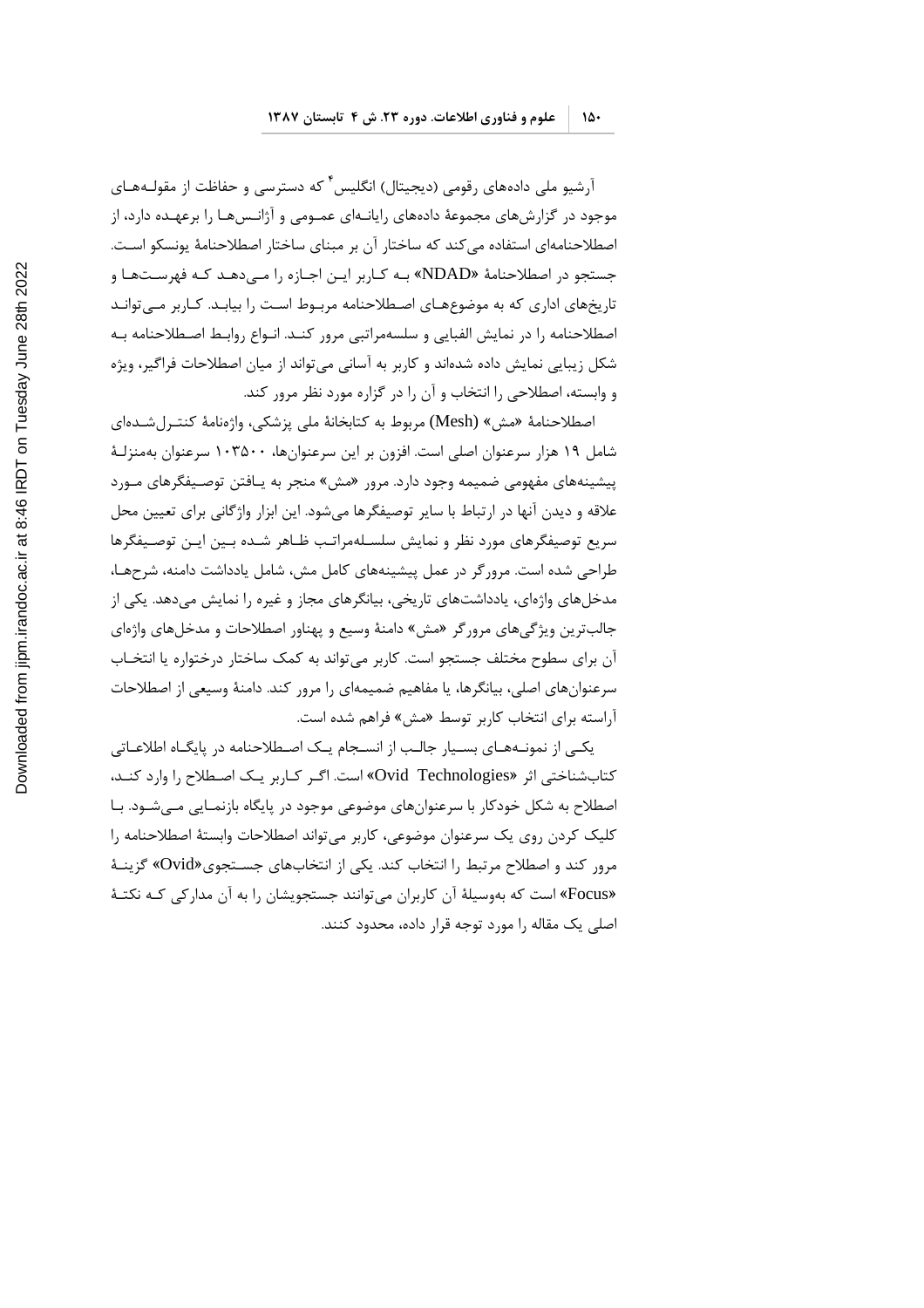آرشیو ملی دادههای رقومی (دیجیتال) انگلیس ٔ که دسترسی و حفاظت از مقولـههـای موجود در گزارشهای مجموعهٔ دادههای رایانـهای عمـومی و آژانـسهـا را برعهـده دارد، از اصطلاحنامهای استفاده میکند که ساختار آن بر مبنای ساختار اصطلاحنامهٔ یونسکو است. جستجو در اصطلاحنامهٔ «NDAD» بـه كـاربر ايـن اجـازه را مـى‹هـد كـه فهرسـتهـا و تاریخهای اداری که به موضوعهـای اصـطلاحنامه مربـوط اسـت را بیابـد. کـاربر مــ ،توانـد اصطلاحنامه را در نمایش الفبایی و سلسهمراتبی مرور کنـد. انـواع روابـط اصـطلاحنامه بـه شکل زیبایی نمایش داده شدهاند و کاربر به آسانی میتواند از میان اصطلاحات فراگیر، ویژه و وابسته، اصطلاحی را انتخاب و آن را در گزاره مورد نظر مرور کند.

اصطلاحنامهٔ «مش» (Mesh) مربوط به كتابخانهٔ ملي پزشكي، واژەنامهٔ كنتـرلشـدەاي شامل ۱۹ هزار سرعنوان اصلی است. افزون بر این سرعنوانها، ۱۰۳۵۰۰ سرعنوان بهمنزلـهٔ پیشینههای مفهومی ضمیمه وجود دارد. مرور «مش» منجر به پـافتن توصـیفگرهای مـورد علاقه و ديدن آنها در ارتباط با ساير توصيفگرها ميشود. اين ابزار واژگاني براي تعيين محل سریع توصیفگرهای مورد نظر و نمایش سلسلهمراتب ظاهر شده بین این توصیفگرها طراحی شده است. مرور گر در عمل پیشینههای کامل مش، شامل یادداشت دامنه، شرحهـا، مدخلهای واژهای، یادداشتهای تاریخی، بیانگرهای مجاز و غیره را نمایش میدهد. یکی از جالب ترین ویژگیهای مرورگر «مش» دامنهٔ وسیع و پهناور اصطلاحات و مدخلهای واژهای آن برای سطوح مختلف جستجو است. کاربر می تواند به کمک ساختار درختواره یا انتخـاب سرعنوانهای اصلی، بیانگرها، یا مفاهیم ضمیمهای را مرور کند. دامنهٔ وسیعی از اصطلاحات آراسته برای انتخاب کاربر توسط «مش» فراهم شده است.

یکـی از نمونـههـای بسـیار جالـب از انسـجام یـک اصـطلاحنامه در پایگـاه اطلاعـاتی کتاب شناختی اثر «Ovid Technologies» است. اگر کاربر یک اصطلاح را وارد کنـد، اصطلاح به شکل خودکار با سرعنوانهای موضوعی موجود در پایگاه بازنمـایی مـیشـود. بـا كليک كردن روى يک سرعنوان موضوعى، كاربر مى تواند اصطلاحات وابستهٔ اصطلاحنامه را مرور کند و اصطلاح مرتبط را انتخاب کند. یکی از انتخابهای جسـتجوی«Ovid» گزینـهٔ «Focus» است که بهوسیلهٔ آن کاربران میتوانند جستجویشان را به آن مدارکی کـه نکتـهٔ اصلی یک مقاله را مورد توجه قرار داده، محدود کنند.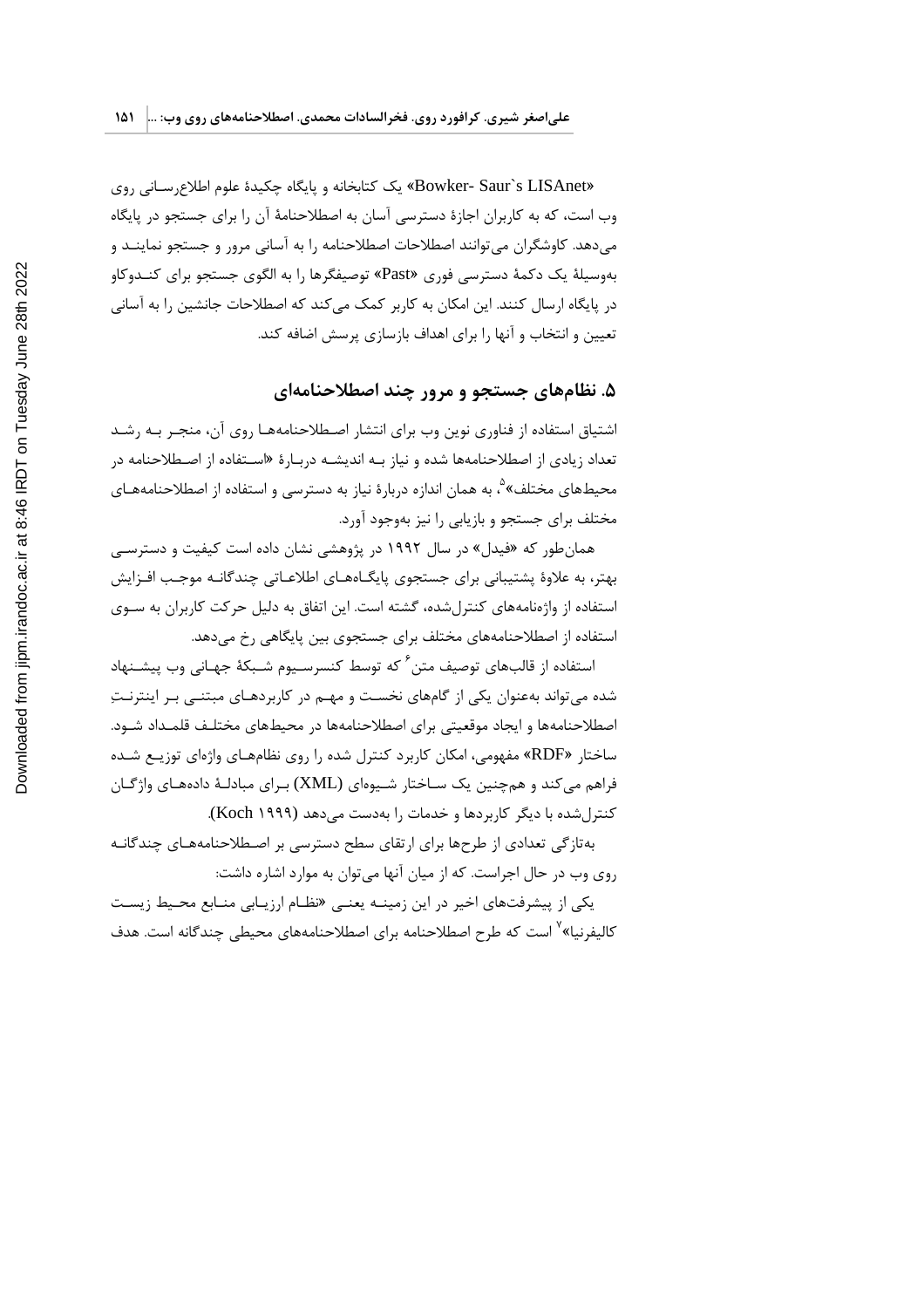«Bowker- Saur`s LISAnet» یک کتابخانه و پایگاه چکیدهٔ علوم اطلاع رسانی روی وب است، که به کاربران اجازهٔ دسترسی آسان به اصطلاحنامهٔ آن را برای جستجو در پایگاه می دهد. کاوشگران می توانند اصطلاحات اصطلاحنامه را به آسانی مرور و جستجو نماینـد و بهوسیلهٔ یک دکمهٔ دسترسی فوری «Past» توصیفگرها را به الگوی جستجو برای کنـدوکاو در پایگاه ارسال کنند. این امکان به کاربر کمک می کند که اصطلاحات جانشین را به آسانی تعیین و انتخاب و آنها را برای اهداف بازسازی پرسش اضافه کند.

## ۵. نظامهای جستجو و مرور چند اصطلاحنامهای

اشتیاق استفاده از فناوری نوین وب برای انتشار اصطلاحنامههـا روی آن، منجـر بـه رشـد تعداد زیادی از اصطلاحنامهها شده و نیاز بـه اندیشـه دربـارهٔ «اسـتفاده از اصـطلاحنامه در محیطهای مختلف»<sup>۵</sup>، به همان اندازه دربارهٔ نیاز به دسترسی و استفاده از اصطلاحنامههـای مختلف برای جستجو و بازیابی را نیز بهوجود آورد.

همان طور که «فیدل» در سال ۱۹۹۲ در پژوهشی نشان داده است کیفیت و دسترسی بهتر، به علاوهٔ پشتیبانی برای جستجوی پایگـاههـای اطلاعـاتی چندگانـه موجـب افـزایش استفاده از واژهنامههای کنترل شده، گشته است. این اتفاق به دلیل حرکت کاربران به سـوی استفاده از اصطلاحنامههای مختلف برای جستجوی بین پایگاهی رخ می دهد.

استفاده از قالبِهای توصیف متن <sup>۶</sup> که توسط کنسرسـیوم شـبکهٔ جهـانی وب پیشـنهاد شده می تواند بهعنوان یکی از گامهای نخست و مهـم در کاربردهـای مبتنــی بـر اینترنـتِ اصطلاحنامهها و ایجاد موقعیتی برای اصطلاحنامهها در محیطهای مختلـف قلمـداد شـود. ساختار «RDF» مفهومی، امکان کاربرد کنترل شده را روی نظامهـای واژهای توزیـع شـده فراهم می کند و همچنین یک سـاختار شـیوهای (XML) بـرای مبادلـهٔ دادههـای واژگـان کنترل شده با دیگر کاربردها و خدمات را بهدست می دهد (Koch ۱۹۹۹).

بهتازگی تعدادی از طرحها برای ارتقای سطح دسترسی بر اصـطلاحنامههـای چندگانـه روی وب در حال اجراست. که از میان آنها میتوان به موارد اشاره داشت:

یکی از پیشرفتهای اخیر در این زمینــه یعنــی «نظــام ارزیــابی منــابع محــیط زیســت کالیفرنیا»<sup>۷</sup> است که طرح اصطلاحنامه برای اصطلاحنامههای محیطی چندگانه است. هدف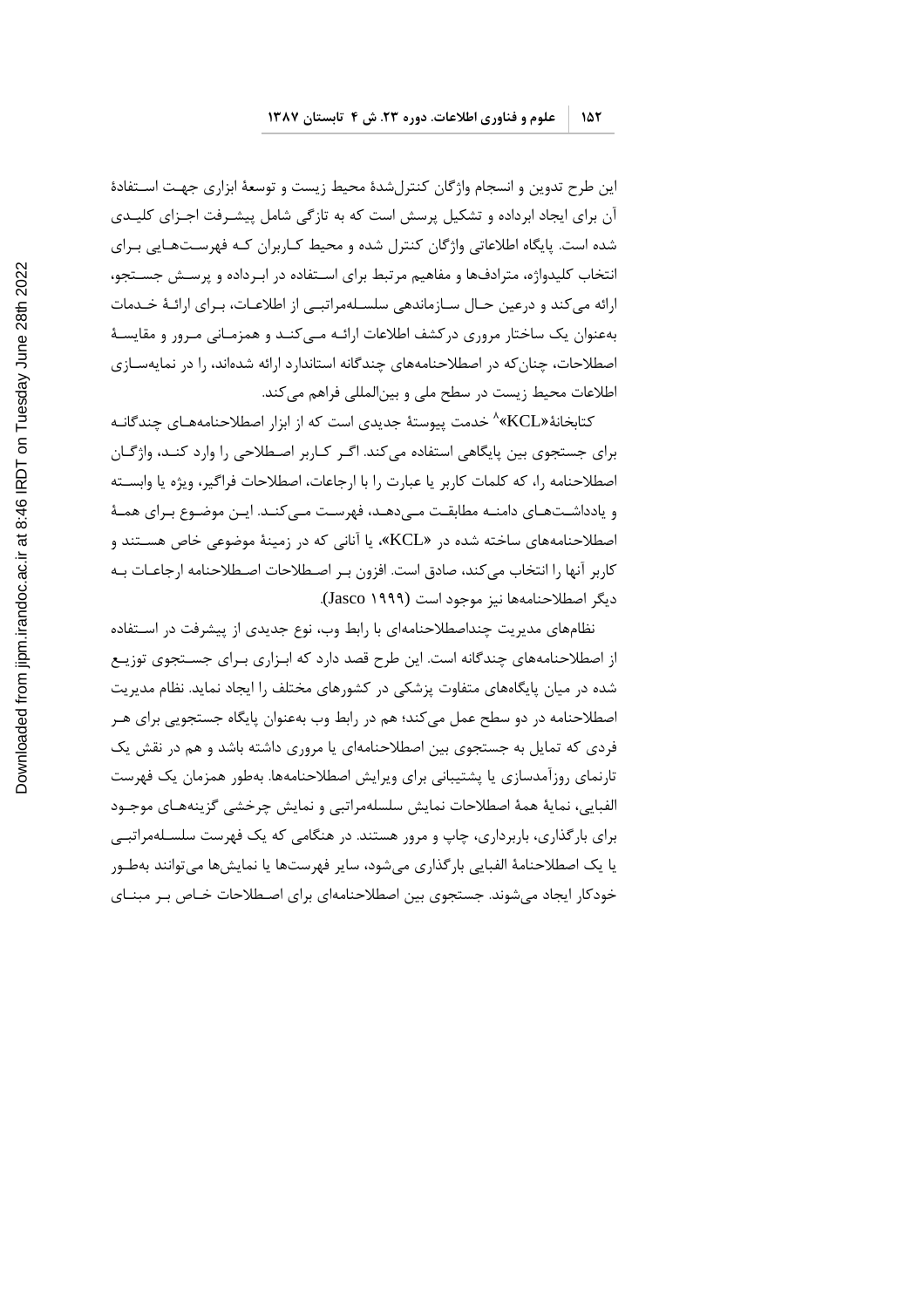این طرح تدوین و انسجام واژگان کنترلشدهٔ محیط زیست و توسعهٔ ابزاری جهت اسـتفادهٔ آن برای ایجاد ابرداده و تشکیل پرسش است که به تازگی شامل پیشـرفت اجـزای کلیـدی شده است. پایگاه اطلاعاتی واژگان کنترل شده و محیط کـاربران کـه فهرسـتهـایی بـرای انتخاب کلیدواژه، مترادفها و مفاهیم مرتبط برای اسـتفاده در ابـرداده و پرسـش جسـتجو، ارائه می کند و درعین حـال سـازماندهی سلسـلهمراتبـی از اطلاعـات، بـرای ارائـهٔ خـدمات بهعنوان یک ساختار مروری درکشف اطلاعات ارائـه مـی کنـد و همزمـانی مـرور و مقایسـهٔ اصطلاحات، چنان که در اصطلاحنامههای چندگانه استاندارد ارائه شدهاند، را در نمایهسـازی اطلاعات محیط زیست در سطح ملی و بینالمللی فراهم می کند.

کتابخانهٔ«KCL» ُ خدمت پیوستهٔ جدیدی است که از ابزار اصطلاحنامههـای چندگانـه برای جستجوی بین پایگاهی استفاده می کند. اگـر کـاربر اصـطلاحی را وارد کنـد، واژگـان اصطلاحنامه را، كه كلمات كاربر يا عبارت را با ارجاعات، اصطلاحات فراگير، ويژه يا وابسـته و یادداشـتهـای دامنـه مطابقـت مـیدهـد، فهرسـت مـیکنـد. ایـن موضـوع بـرای همـهٔ اصطلاحنامههای ساخته شده در «KCL»، یا آنانی که در زمینهٔ موضوعی خاص هستند و كاربر آنها ,ا انتخاب مى كند، صادق است. افزون بـر اصـطلاحات اصـطلاحنامه ارجاعــات بـه ديگر اصطلاحنامهها نيز موجود است (Jasco ۱۹۹۹).

نظامهای مدیریت چنداصطلاحنامهای با رابط وب، نوع جدیدی از پیشرفت در استفاده از اصطلاحنامههای چندگانه است. این طرح قصد دارد که ابـزاری بـرای جســتجوی توزیــع شده در میان پایگاههای متفاوت پزشکی در کشورهای مختلف را ایجاد نماید. نظام مدیریت اصطلاحنامه در دو سطح عمل میکند؛ هم در رابط وب بهعنوان پایگاه جستجویی برای هـر فردی که تمایل به جستجوی بین اصطلاحنامهای یا مروری داشته باشد و هم در نقش یک تارنمای روزآمدسازی یا پشتیبانی برای ویرایش اصطلاحنامهها. بهطور همزمان یک فهرست الفبايي، نمايهٔ همهٔ اصطلاحات نمايش سلسلهمراتبي و نمايش چرخشي گزينههـاي موجـود برای بارگذاری، باربرداری، چاپ و مرور هستند. در هنگامی که یک فهرست سلسـلهمراتبــی یا یک اصطلاحنامهٔ الفبایی بار گذاری می شود، سایر فهرستها یا نمایش ها می توانند بهطـور خودکار ایجاد می شوند. جستجوی بین اصطلاحنامهای برای اصـطلاحات خـاص بـر مبنــای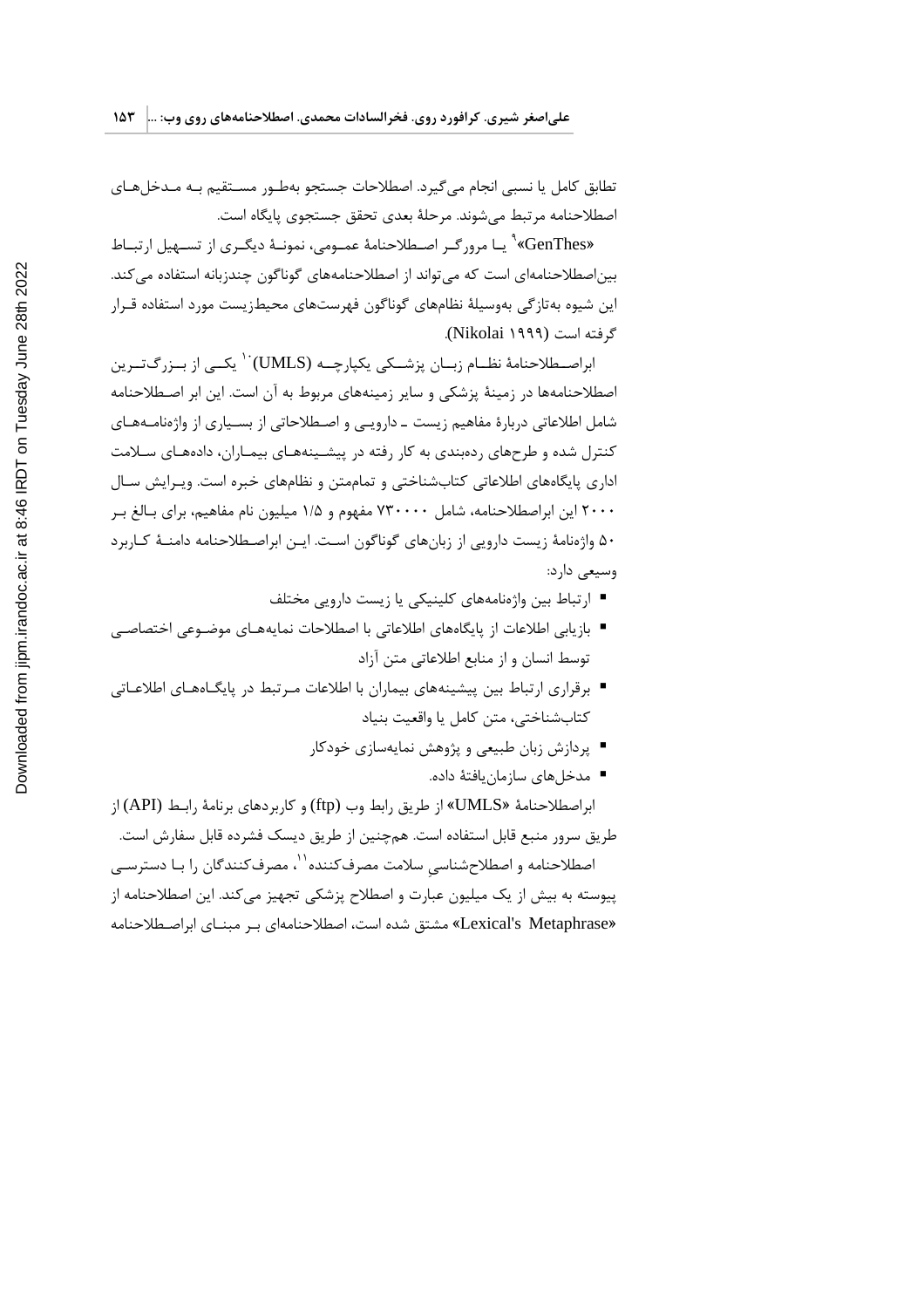تطابق كامل يا نسبي انجام مي گيرد. اصطلاحات جستجو بهطـور مسـتقيم بـه مـدخلهـاي اصطلاحنامه مرتبط مي شوند. مرحلهٔ بعدي تحقق جستجوي پايگاه است.

«GenThes» " یـا مرور گـر اصـطلاحنامهٔ عمـومی، نمونـهٔ دیگـری از تسـهیل ارتبـاط بین|صطلاحنامه|ی است که می تواند از اصطلاحنامههای گوناگون چندزبانه استفاده می کند. این شیوه بهتاز گی بهوسیلهٔ نظامهای گوناگون فهرستهای محیطزیست مورد استفاده قـرار گرفته است (Nikolai ۱۹۹۹).

ابراصــطلاحنامهٔ نظــام زبــان پزشــکی یکپارچــه (UMLS)<sup>۰۰</sup> یکــی از بــزرگ<code>تــرین</code> اصطلاحنامهها در زمینهٔ پزشکی و سایر زمینههای مربوط به آن است. این ابر اصـطلاحنامه شامل اطلاعاتی دربارهٔ مفاهیم زیست ـ دارویـی و اصـطلاحاتی از بسـیاری از واژهنامـههـای کنترل شده و طرحهای ردهبندی به کار رفته در پیشـینههـای بیمـاران، دادههـای سـلامت اداری پایگاههای اطلاعاتی کتابشناختی و تماممتن و نظامهای خبره است. ویـرایش سـال ۲۰۰۰ این ابراصطلاحنامه، شامل ۷۳۰۰۰۰ مفهوم و ۱/۵ میلیون نام مفاهیم، برای بـالغ بـر ۵۰ واژهنامهٔ زیست دارویی از زبانهای گوناگون است. ایـن ابراصـطلاحنامه دامنـهٔ کـاربرد وسيعي دارد:

- ارتباط بین واژهنامههای کلینیکی یا زیست دارویی مختلف
- بازيابي اطلاعات از پايگاههاي اطلاعاتي با اصطلاحات نمايههـاي موضـوعي اختصاصـي توسط انسان و از منابع اطلاعاتی متن آزاد
- برقراری ارتباط بین پیشینههای بیماران با اطلاعات مرتبط در پایگـاههـای اطلاعـاتی كتابشناختي، متن كامل يا واقعيت بنياد
	- پردازش زبان طبیعی و پژوهش نمایهسازی خودکار
		- مدخلهای سازمان یافتهٔ داده.

ابراصطلاحنامهٔ «UMLS» از طریق رابط وب (ftp) و کاربردهای برنامهٔ رابـط (API) از طريق سرور منبع قابل استفاده است. همچنين از طريق ديسک فشرده قابل سفارش است. اصطلاحنامه و اصطلاحشناسی سلامت مصرف *ک*ننده<sup>۱٬۱</sup> مصرف *ک*نندگان ۱٫ بـا دسترســی پیوسته به بیش از یک میلیون عبارت و اصطلاح پزشکی تجهیز می کند. این اصطلاحنامه از «Lexical's Metaphrase» مشتق شده است، اصطلاحنامهای بر مبنای ابراصطلاحنامه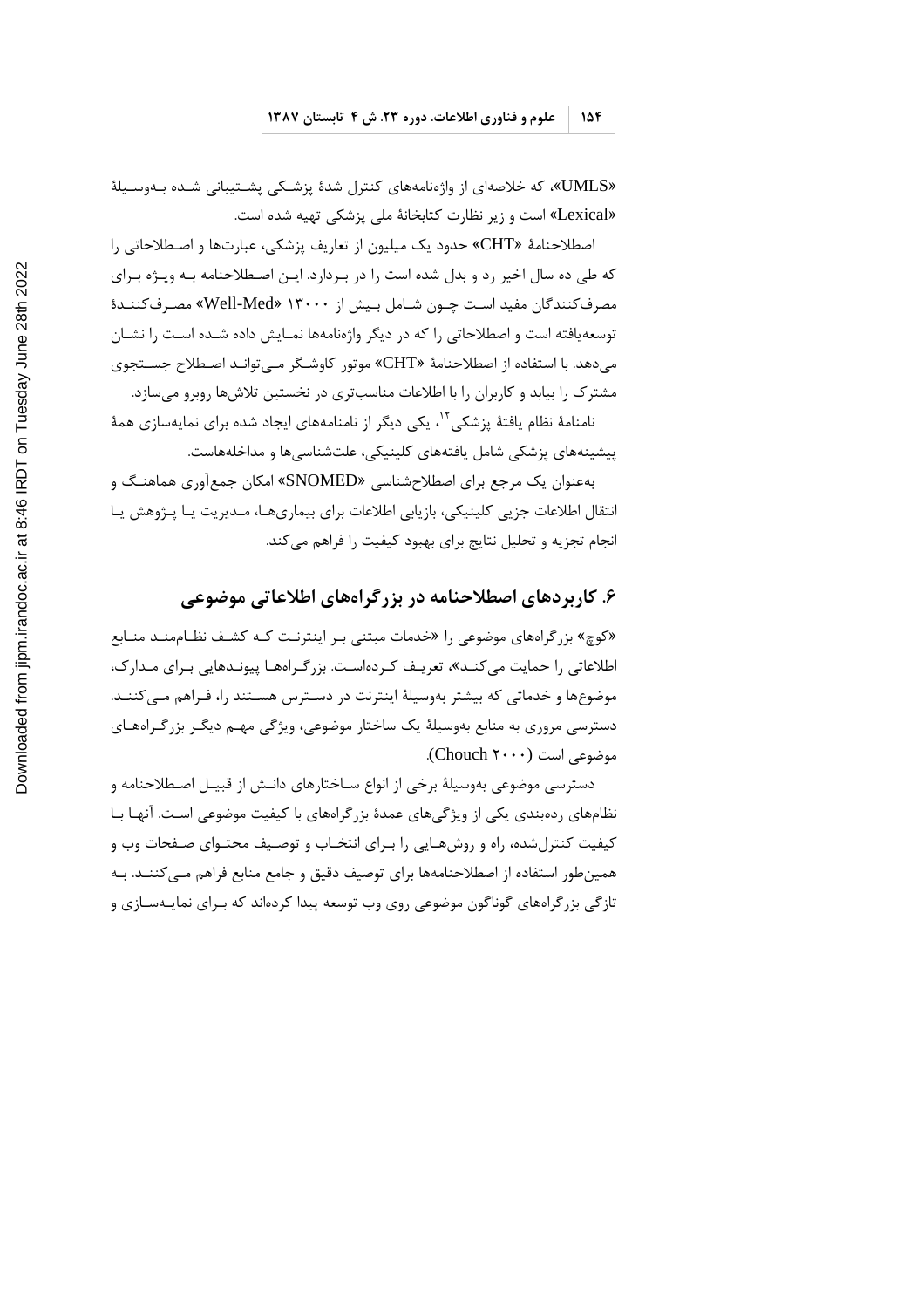«UMLS»، که خلاصهای از واژهنامههای کنترل شدهٔ پزشکی پشـتیبانی شـده بـهوسـیلهٔ «Lexical» است و زیر نظارت کتابخانهٔ ملی پزشکی تهیه شده است.

اصطلاحنامهٔ «CHT» حدود یک میلیون از تعاریف پزشکی، عبارتها و اصطلاحاتی را که طی ده سال اخیر رد و بدل شده است را در بـردارد. ایـن اصـطلاحنامه بـه ویـژه بـرای مصرف کنندگان مفید است چـون شـامل بـیش از ۱۳۰۰۰ «Well-Med» مصـرف کننــدهٔ توسعه یافته است و اصطلاحاتی را که در دیگر واژهنامهها نمـایش داده شـده اسـت را نشـان میدهد. با استفاده از اصطلاحنامهٔ «CHT» موتور کاوشگر مـی توانـد اصـطلاح جسـتجوی مشترک را بیابد و کاربران را با اطلاعات مناسب تری در نخستین تلاش ها روبرو می سازد.

نامنامهٔ نظام یافتهٔ پزشکی<sup>۱۲</sup>، یکی دیگر از نامنامههای ایجاد شده برای نمایهسازی همهٔ پیشینههای پزشکی شامل یافتههای کلینیکی، علتشناسیها و مداخلههاست.

بهعنوان یک مرجع برای اصطلاحشناسی «SNOMED» امکان جمع آوری هماهنـگ و انتقال اطلاعات جزیی کلینیکی، بازیابی اطلاعات برای بیماریهـا، مـدیریت یـا پـژوهش یـا انجام تجزیه و تحلیل نتایج برای بهبود کیفیت را فراهم می کند.

#### ۶. کاربردهای اصطلاحنامه در بزرگراههای اطلاعاتی موضوعی

«کوچ» بزر گراههای موضوعی را «خدمات مبتنی بـر اینترنـت کـه کشـف نظـاممنـد منـابع اطلاعات<sub>ی ر</sub>ا حمایت می کنـد»، تعریـف کـردهاسـت. بزرگـراههـا پیونـدهایی بـرای مـدارک، موضوعها و خدماتی که بیشتر بهوسیلهٔ اینترنت در دسـترس هسـتند را، فـراهم مـی کننـد. دسترسی مروری به منابع بهوسیلهٔ یک ساختار موضوعی، ویژگی مهـم دیگـر بزرگـراههـای موضوعی است (Chouch ۲۰۰۰).

دسترسی موضوعی بهوسیلهٔ برخی از انواع ســاختارهای دانـش از قبیــل اصــطلاحنامه و نظامهای ردهبندی یکی از ویژگیهای عمدهٔ بزرگراههای با کیفیت موضوعی است. آنهـا بـا کیفیت کنترل شده، راه و روش هـایی را بـرای انتخـاب و توصـیف محتـوای صـفحات وب و همینطور استفاده از اصطلاحنامهها برای توصیف دقیق و جامع منابع فراهم مـی5کننـد. بـه تازگی بزرگراههای گوناگون موضوعی روی وب توسعه پیدا کردهاند که بـرای نمایـهسـازی و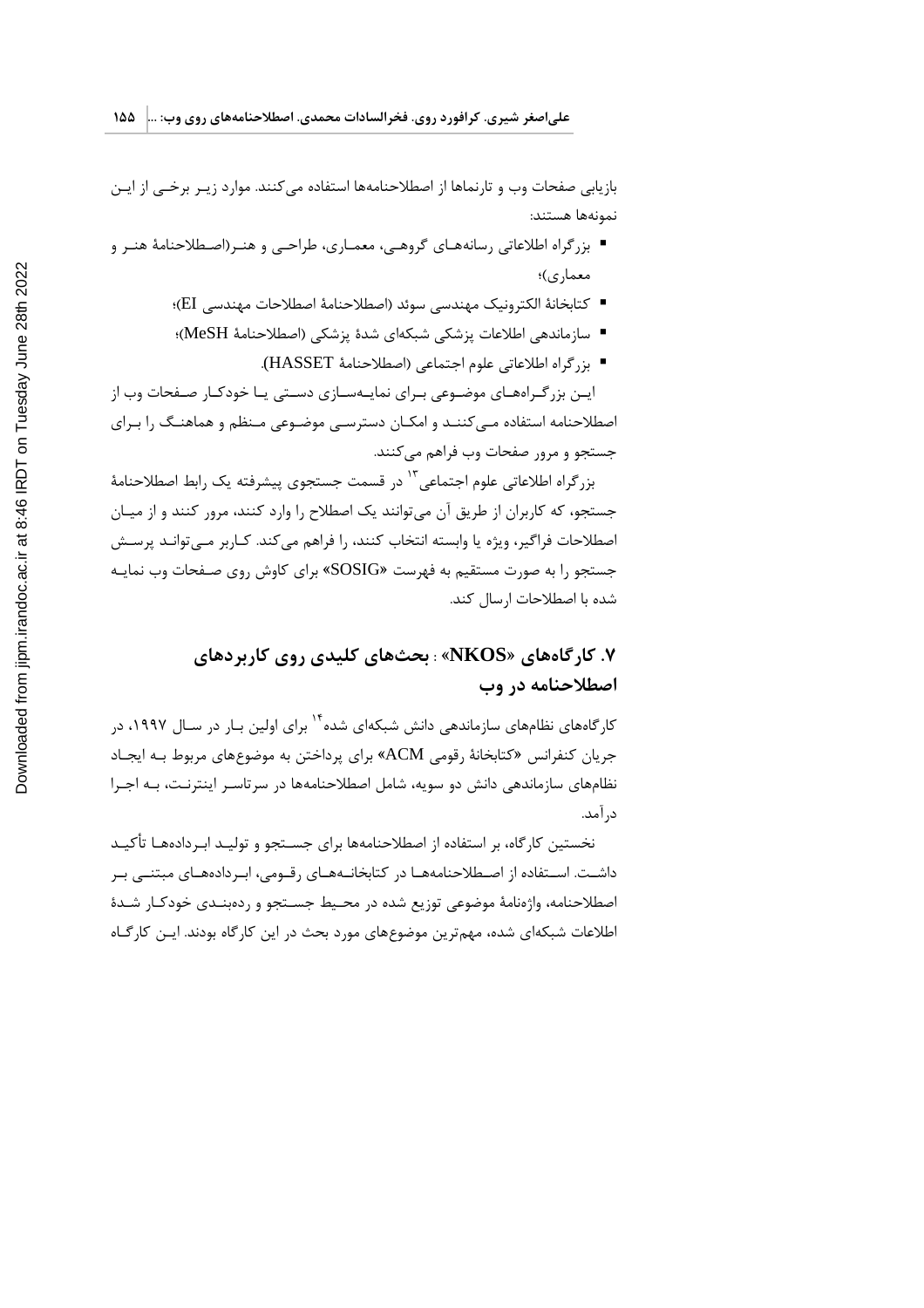بازيابي صفحات وب و تارنماها از اصطلاحنامهها استفاده مي كنند. موارد زيـر برخـى از ايـن نمونهها هستند:

- بزرگراه اطلاعاتی رسانههـای گروهـی، معمـاری، طراحـی و هنـر(اصـطلاحنامهٔ هنـر و معماري)؛
	- كتابخانهٔ الكترونيك مهندسي سوئد (اصطلاحنامهٔ اصطلاحات مهندسي EI)؛
	- سازماندهي اطلاعات يزشكي شبكهاي شدة يزشكي (اصطلاحنامة MeSH)؛
		- بزرگراه اطلاعاتي علوم اجتماعي (اصطلاحنامهٔ HASSET).

ایـن بزرگـراههـای موضـوعی بـرای نمایـهسـازی دسـتی یـا خودکـار صـفحات وب از اصطلاحنامه استفاده می کننـد و امکـان دسترسـی موضـوعی مـنظم و هماهنـگ را بـرای جستجو و مرور صفحات وب فراهم می کنند.

بزر گراه اطلاعاتی علوم اجتماعی <sup>۱۳</sup> در قسمت جستجوی پیشرفته یک رابط اصطلاحنامهٔ جستجو، که کاربران از طریق آن میتوانند یک اصطلاح را وارد کنند، مرور کنند و از میـان اصطلاحات فراگیر، ویژه یا وابسته انتخاب کنند، را فراهم می کند. کـاربر مـی توانـد پرسـش جستجو را به صورت مستقیم به فهرست «SOSIG» برای کاوش روی صـفحات وب نمایـه شده با اصطلاحات ارسال كند.

# ۷. کارگاههای «NKOS» : بحثهای کلیدی روی کاربردهای اصطلاحنامه در وب

کار گامهای نظامهای سازماندهی دانش شبکهای شده<sup>۱۴</sup> برای اولین بـار در سـال ۱۹۹۷، در جريان كنفرانس «كتابخانهٔ رقومي ACM» براي پرداختن به موضوعهاي مربوط بـه ايجـاد نظامهای سازماندهی دانش دو سویه، شامل اصطلاحنامهها در سرتاسـر اینترنـت، بـه اجـرا د, آمد.

نخستین کارگاه، بر استفاده از اصطلاحنامهها برای جسـتجو و تولیـد ابـردادههـا تأکیـد داشـت. اسـتفاده از اصـطلاحنامههـا در كتابخانـههـاى رقـومى، ابـردادههـاى مبتنـى بـر اصطلاحنامه، واژەنامهٔ موضوعی توزیع شده در محیط جسـتجو و ردەبنـدی خودکـار شـدهٔ اطلاعات شبکهای شده، مهم ترین موضوعهای مورد بحث در این کارگاه بودند. ایـن کارگـاه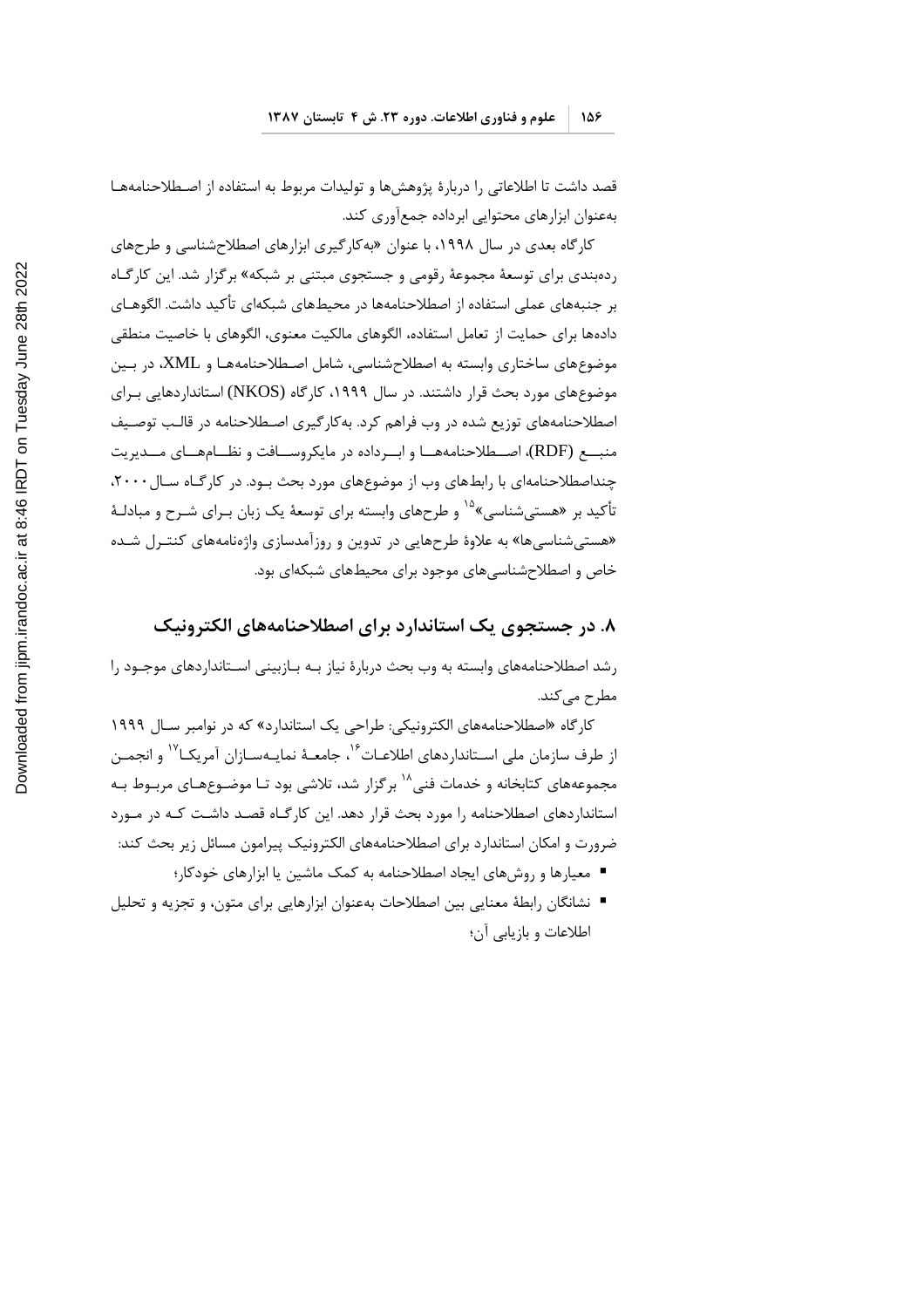قصد داشت تا اطلاعاتی را دربارهٔ پژوهشها و تولیدات مربوط به استفاده از اصطلاحنامههـا بهعنوان ابزارهای محتوایی ابرداده جمعآوری کند.

کارگاه بعدی در سال ۱۹۹۸، با عنوان «بهکارگیری ابزارهای اصطلاحشناسی و طرحهای ردهبندی برای توسعهٔ مجموعهٔ رقومی و جستجوی مبتنی بر شبکه» برگزار شد. این کارگـاه بر جنبههای عملی استفاده از اصطلاحنامهها در محیطهای شبکهای تأکید داشت. الگوهـای دادهها برای حمایت از تعامل استفاده، الگوهای مالکیت معنوی، الگوهای با خاصیت منطقی موضوعهای ساختاری وابسته به اصطلاحشناسی، شامل اصطلاحنامههـا و XML، در بـین موضوعهای مورد بحث قرار داشتند. در سال ۱۹۹۹، کارگاه (NKOS) استانداردهایی بـرای اصطلاحنامههای توزیع شده در وب فراهم کرد. بهکارگیری اصطلاحنامه در قالب توصیف منبــع (RDF)، اصــطلاحنامههــا و ابــرداده در مايكروســافت و نظــامهــاي مــديريت چنداصطلاحنامهای با رابطهای وب از موضوعهای مورد بحث بـود. در کارگـاه سـال ۲۰۰۰، تأکید بر «هستی شناسی»<sup>۱۵</sup> و طرحهای وابسته برای توسعهٔ یک زبان بـرای شـرح و مبادلـهٔ «هستی شناسی ها» به علاوهٔ طرحهایی در تدوین و روزآمدسازی واژهنامههای کنتـرل شـده .<br>خاص و اصطلاحشناسی های موجود برای محیطهای شبکهای بود.

#### ۸. در جستجوی یک استاندارد برای اصطلاحنامههای الکترونیک

رشد اصطلاحنامههای وابسته به وب بحث دربارهٔ نیاز بـه بـازبینی اسـتانداردهای موجـود را مطرح مے کند.

کار گاه «اصطلاحنامههای الکترونیکی: طراحی یک استاندارد» که در نوامبر سـال ۱۹۹۹ از طرف سازمان ملی اســتانداردهای اطلاعــات<sup>۱۶</sup>، جامعــهٔ نمایــهســازان آمریکــا<sup>۱۷</sup> و انجمــن مجموعههای کتابخانه و خدمات فنی^` برگزار شد، تلاشی بود تـا موضـوعهـای مربـوط بـه استانداردهای اصطلاحنامه را مورد بحث قرار دهد. این کارگـاه قصـد داشـت کـه در مـورد ضرورت و امکان استاندارد برای اصطلاحنامههای الکترونیک پیرامون مسائل زیر بحث کند:

- معیارها و روشهای ایجاد اصطلاحنامه به کمک ماشین یا ابزارهای خودکار؛
- نشانگان رابطهٔ معنایی بین اصطلاحات بهعنوان ابزارهایی برای متون، و تجزیه و تحلیل اطلاعات و بازيابي آن؛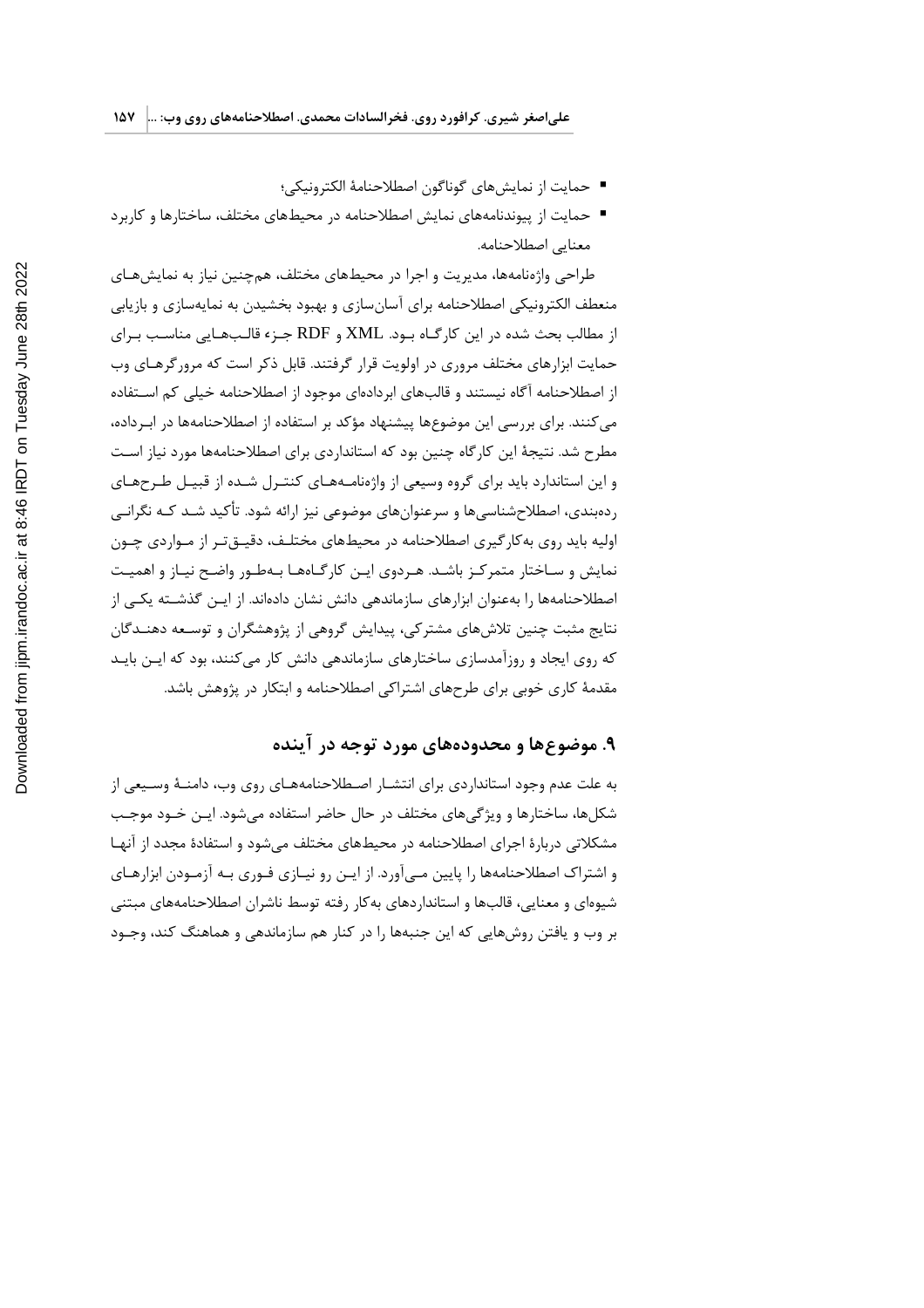- حمايت از نمايش هاي گوناگون اصطلاحنامهٔ الكترونيكي؛
- حمایت از پیوندنامههای نمایش اصطلاحنامه در محیطهای مختلف، ساختارها و کاربرد معنايي اصطلاحنامه.

طراحی واژهنامهها، مدیریت و اجرا در محیطهای مختلف، همچنین نیاز به نمایشهـای منعطف الکترونیکی اصطلاحنامه برای آسانسازی و بهبود بخشیدن به نمایهسازی و بازیابی از مطالب بحث شده در این کارگـاه بـود. XML و RDF جـزء قالـبـهـایی مناسـب بـرای حمایت ابزارهای مختلف مروری در اولویت قرار گرفتند. قابل ذکر است که مرورگرهـای وب از اصطلاحنامه آگاه نیستند و قالبهای ابردادهای موجود از اصطلاحنامه خیلی کم استفاده می کنند. برای بررسی این موضوعها پیشنهاد مؤکد بر استفاده از اصطلاحنامهها در ابـرداده، مطرح شد. نتیجهٔ این کارگاه چنین بود که استانداردی برای اصطلاحنامهها مورد نیاز است و این استاندارد باید برای گروه وسیعی از واژهنامـههـای کنتـرل شـده از قبیـل طـرحهـای ردهبندی، اصطلاحشناسیها و سرعنوانهای موضوعی نیز ارائه شود. تأکید شـد کـه نگرانـی اولیه باید روی به کار گیری اصطلاحنامه در محیطهای مختلـف، دقیــقتـر از مــواردی چــون نمایش و سـاختار متمرکـز باشـد. هـردوی ایـن کارگـاههـا بـهطـور واضـح نیـاز و اهمیـت اصطلاحنامهها را بهعنوان ابزارهای سازماندهی دانش نشان دادهاند. از ایـن گذشـته یکـی از نتایج مثبت چنین تلاشهای مشترکی، پیدایش گروهی از پژوهشگران و توسـعه دهنـدگان که روی ایجاد و روزآمدسازی ساختارهای سازماندهی دانش کار می کنند، بود که ایـن بایـد مقدمهٔ کاری خوبی برای طرحهای اشتراکی اصطلاحنامه و ابتکار در پژوهش باشد.

# ۹. موضوعها و محدودههای مورد توجه در آینده

به علت عدم وجود استانداردی برای انتشـار اصـطلاحنامههـای روی وب، دامنـهٔ وسـیعی از شکلها، ساختارها و ویژگیهای مختلف در حال حاضر استفاده می شود. ایــن خــود موجــب مشکلاتی دربارهٔ اجرای اصطلاحنامه در محیطهای مختلف می شود و استفادهٔ مجدد از آنهـا و اشتراک اصطلاحنامهها را پایین مـی[ورد. از ایـن رو نیـازی فـوری بـه آزمـودن ابزارهـای شیوهای و معنایی، قالبها و استانداردهای بهکار رفته توسط ناشران اصطلاحنامههای مبتنی بر وب و یافتن روشهایی که این جنبهها را در کنار هم سازماندهی و هماهنگ کند، وجـود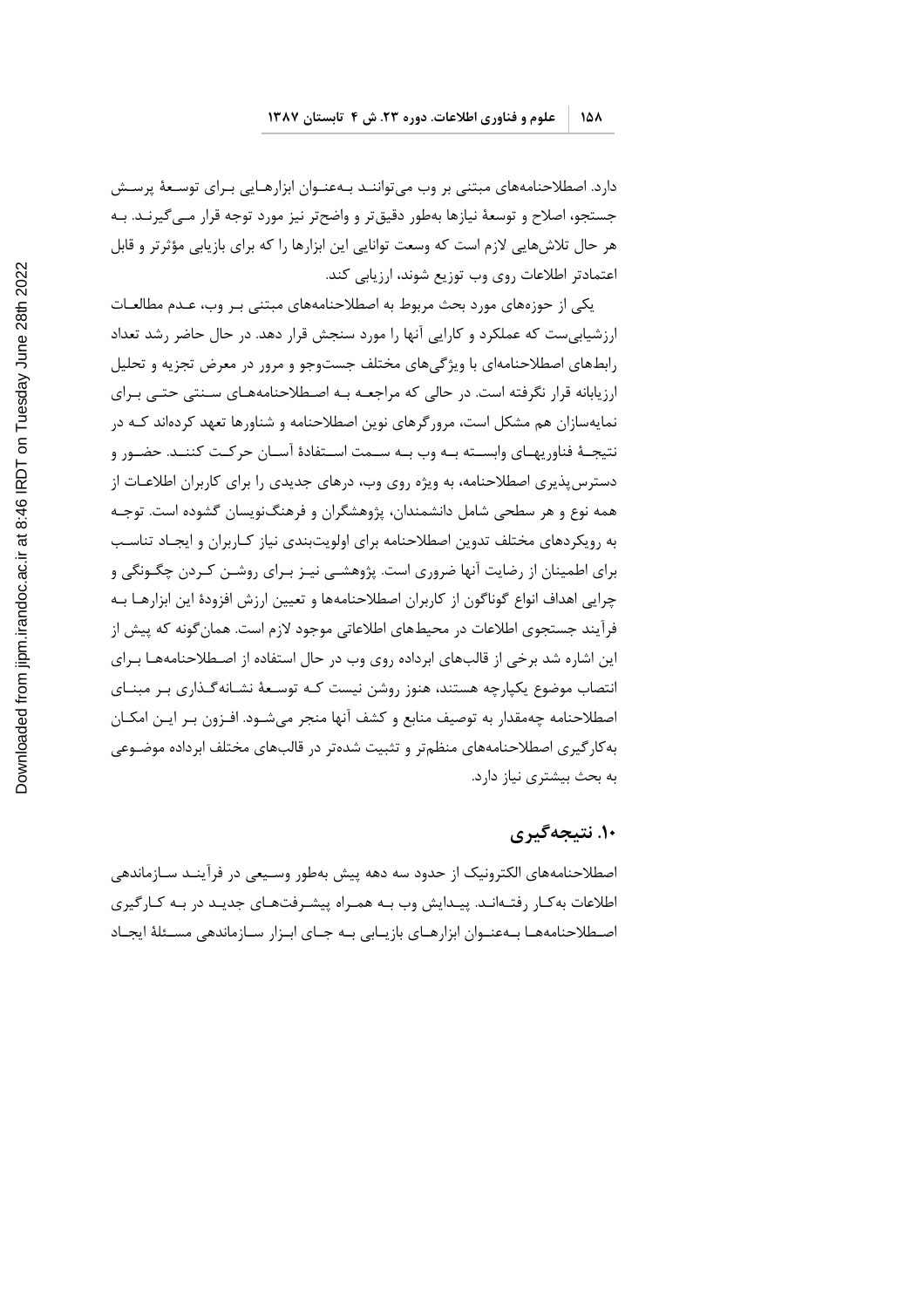دارد. اصطلاحنامههای مبتنی بر وب می¤واننـد بـهعنـوان ابزارهـایی بـرای توسـعهٔ پرسـش جستجو، اصلاح و توسعهٔ نیازها بهطور دقیقتر و واضحتر نیز مورد توجه قرار مـی٤گیرنـد. بـه هر حال تلاشهایی لازم است که وسعت توانایی این ابزارها را که برای بازیابی مؤثرتر و قابل اعتمادتر اطلاعات روى وب توزيع شوند، ارزيابي كند.

یکی از حوزههای مورد بحث مربوط به اصطلاحنامههای مبتنی بـر وب، عـدم مطالعـات ارزشیابی ست که عملکرد و کارایی آنها را مورد سنجش قرار دهد. در حال حاضر رشد تعداد رابطهای اصطلاحنامهای با ویژگیهای مختلف جستوجو و مرور در معرض تجزیه و تحلیل ارزیابانه قرار نگرفته است. در حالی که مراجعـه بـه اصـطلاحنامههـای سـنتی حتـی بـرای نمایهسازان هم مشکل است، مرور گرهای نوین اصطلاحنامه و شناورها تعهد کردهاند کـه در نتيجــهٔ فناوريهــاي وابســته بــه وب بــه ســمت اســتفادهٔ آســان حركــت كننــد. حضــور و دسترس پذیری اصطلاحنامه، به ویژه روی وب، درهای جدیدی را برای کاربران اطلاعـات از همه نوع و هر سطحی شامل دانشمندان، پژوهشگران و فرهنگنویسان گشوده است. توجـه به رویکردهای مختلف تدوین اصطلاحنامه برای اولویتبندی نیاز کـاربران و ایجـاد تناسـب برای اطمینان از رضایت آنها ضروری است. پژوهشــی نیـز بـرای روشـن کـردن چگـونگی و چرایی اهداف انواع گوناگون از کاربران اصطلاحنامهها و تعیین ارزش افزودهٔ این ابزارهـا بـه فرآیند جستجوی اطلاعات در محیطهای اطلاعاتی موجود لازم است. همان گونه که پیش از این اشاره شد برخی از قالبهای ابرداده روی وب در حال استفاده از اصطلاحنامههـا بـرای انتصاب موضوع یکپارچه هستند، هنوز روشن نیست کـه توسـعهٔ نشـانهگـذاری بـر مبنــای اصطلاحنامه چهمقدار به توصيف منابع و كشف آنها منجر مىشـود. افـزون بـر ايـن امكـان به کار گیری اصطلاحنامههای منظم تر و تثبیت شده تر در قالبهای مختلف ابرداده موضـوعی به بحث بیشتری نیاز دارد.

#### ۱۰. نتيجهگيري

اصطلاحنامههای الکترونیک از حدود سه دهه پیش بهطور وسـیعی در فرآینـد سـازماندهی اطلاعات به کار رفتهانـد. پیـدایش وب بـه همـراه پیشـرفتهـای جدیـد در بـه کـارگیری اصطلاحنامهها بهعنوان ابزارهاى بازيابي به جاى ابزار سازماندهي مسئلة ايجاد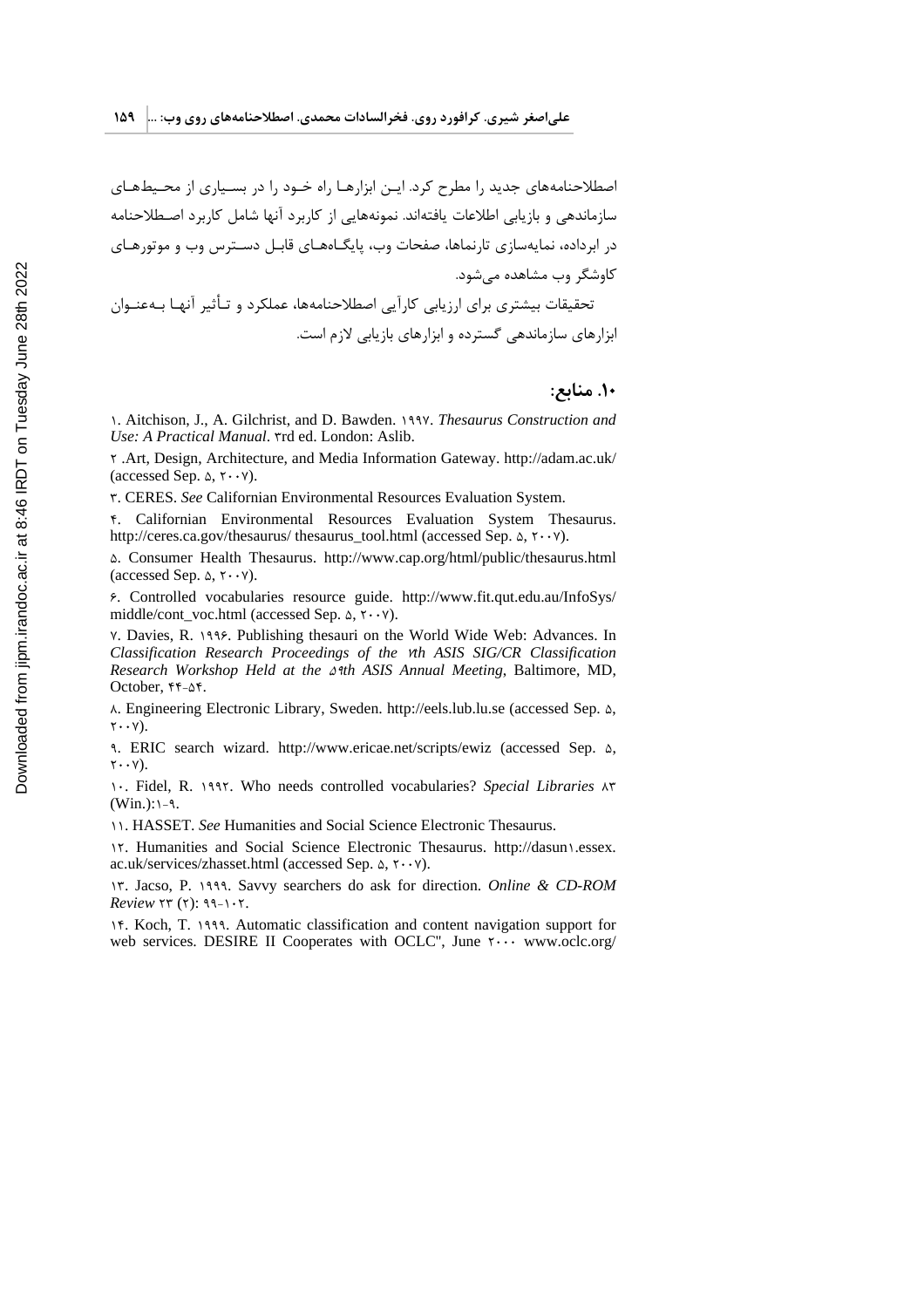اصطلاحنامههای جدید ,ا مطرح کرد. ایـن ابزارهـا راه خـود را در بسـیاری از محـیطهـای سازماندهی و بازیابی اطلاعات یافتهاند. نمونههایی از کاربرد آنها شامل کاربرد اصـطلاحنامه در ابرداده، نمایهسازی تارنماها، صفحات وب، پایگـاههـای قابـل دسـترس وب و موتورهـای کاوشگر وب مشاهده مے شود. تحقیقات بیشتری برای ارزیابی کارآیی اصطلاحنامهها، عملکرد و تـأثیر آنهـا بـهعنـوان ابزارهای سازماندهی گسترده و ابزارهای بازیابی لازم است.

#### ۱۰. منابع:

1. Aitchison, J., A. Gilchrist, and D. Bawden. 1997. Thesaurus Construction and Use: A Practical Manual. Trd ed. London: Aslib.

Y .Art, Design, Architecture, and Media Information Gateway. http://adam.ac.uk/ (accessed Sep.  $\triangle$ ,  $\mathsf{Y} \cdot \mathsf{Y}$ ).

٣. CERES. See Californian Environmental Resources Evaluation System.

F. Californian Environmental Resources Evaluation System Thesaurus. http://ceres.ca.gov/thesaurus/ thesaurus\_tool.html (accessed Sep.  $\Delta$ ,  $\tau \cdot \nu$ ).

Δ. Consumer Health Thesaurus. http://www.cap.org/html/public/thesaurus.html (accessed Sep.  $\triangle$ ,  $\mathbf{Y} \cdot \mathbf{Y}$ ).

5. Controlled vocabularies resource guide. http://www.fit.qut.edu.au/InfoSys/ middle/cont\_voc.html (accessed Sep.  $\Delta$ ,  $\mathbf{r} \cdot \mathbf{v}$ ).

Y. Davies, R. 1995. Publishing thesauri on the World Wide Web: Advances. In Classification Research Proceedings of the vth ASIS SIG/CR Classification Research Workshop Held at the  $\triangle$ <sup>3th</sup> ASIS Annual Meeting, Baltimore, MD, October, ۴۴-۵۴.

A. Engineering Electronic Library, Sweden. http://eels.lub.lu.se (accessed Sep.  $\Delta$ ,  $\mathbf{Y} \cdot \cdot \mathbf{Y}$ ).

9. ERIC search wizard. http://www.ericae.net/scripts/ewiz (accessed Sep.  $\Delta$ ,  $\mathbf{Y} \cdot \cdot \mathbf{Y}$ ).

1. Fidel, R. 1997. Who needs controlled vocabularies? Special Libraries AT  $(Win.): \neg \neg \neg$ .

11. HASSET. See Humanities and Social Science Electronic Thesaurus.

17. Humanities and Social Science Electronic Thesaurus. http://dasun1.essex. ac.uk/services/zhasset.html (accessed Sep.  $\Delta$ , ۲. · ۷).

IT. Jacso, P. 1999. Savvy searchers do ask for direction. Online & CD-ROM Review  $\forall$ r $($  $\forall$ ):  $\forall$  $\forall$ - $\land \forall$ .

15. Koch, T. 1999. Automatic classification and content navigation support for web services. DESIRE II Cooperates with OCLC", June Y... www.oclc.org/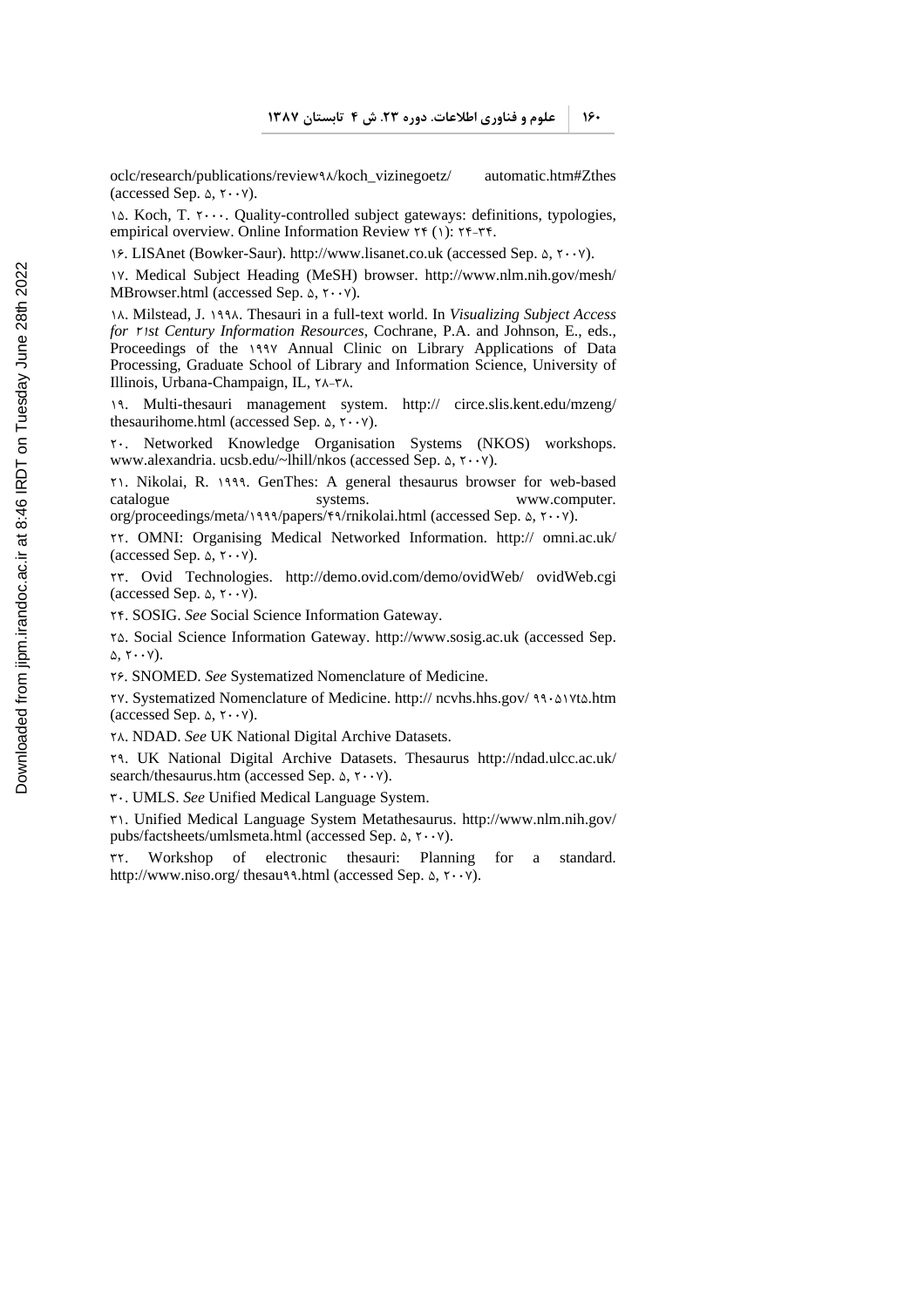18.

oclc/research/publications/reviewPX/koch\_vizinegoetz/ automatic.htm#Zthes (accessed Sep.  $\triangle$ ,  $\mathsf{Y} \cdot \mathsf{Y}$ ).

 $\lambda$ . Koch, T.  $\gamma$ . Quality-controlled subject gateways: definitions, typologies, oclc/research/publications/review٩٨/koch\_vizinegoetz/<br>(accessed Sep. ۵, ٢٠٠٧).<br>\۵. Koch, T. ٢٠٠٠. Quality-controlled subject gateways: d<br>empirical overview. Online Information Review ٢۴ (١): ٢۴empirical overview. Online Information Review  $\tau$  (1):  $\tau$  +  $\tau$  +  $\tau$ .

19. LISAnet (Bowker-Saur). http://www.lisanet.co.uk (accessed Sep. ۵, ۲۰۰۷).

OQ. Medical Subject Heading (MeSH) browser. http://www.nlm.nih.gov/mesh/ MBrowser.html (accessed Sep.  $\Delta$ ,  $\gamma \cdot \gamma$ ).

OX. Milstead, J. OPPX. Thesauri in a full-text world. In *Visualizing Subject Access for st Century Information Resources*, Cochrane, P.A. and Johnson, E., eds., Proceedings of the 1997 Annual Clinic on Library Applications of Data Processing, Graduate School of Library and Information Science, University of IX. Milstead, J. 1991. Thesauri in a for *r Ist Century Information Resou*<br>Proceedings of the 1997 Annual<br>Processing, Graduate School of Lit<br>Illinois, Urbana-Champaign, IL, ۲<sup>1</sup> Illinois, Urbana-Champaign, IL, ٢٨-٣٨.

OP. Multi-thesauri management system. http:// circe.slis.kent.edu/mzeng/ thesaurihome.html (accessed Sep.  $\Delta$ ,  $\gamma \cdot \gamma$ ).<br>  $\gamma \cdot$ . Networked Knowledge Organisati

Networked Knowledge Organisation Systems (NKOS) workshops. www.alexandria. ucsb.edu/~lhill/nkos (accessed Sep.  $\Delta$ ,  $\gamma \cdot \gamma$ ).

T. Nikolai, R. 1999. GenThes: A general thesaurus browser for web-based catalogue systems. www.computer. org/proceedings/meta/1999/papers/69/rnikolai.html (accessed Sep.  $\Delta$ ,  $\gamma \cdot \gamma$ ).

SS. OMNI: Organising Medical Networked Information. http:// omni.ac.uk/ (accessed Sep.  $\Delta$ ,  $\gamma \cdot \gamma$ ).

SR. Ovid Technologies. http://demo.ovid.com/demo/ovidWeb/ ovidWeb.cgi (accessed Sep.  $\triangle$ ,  $\overline{Y} \cdot \overline{Y}$ ).

**YF. SOSIG. See Social Science Information Gateway.** 

ST. Social Science Information Gateway. http://www.sosig.ac.uk (accessed Sep.  $\Delta$ ,  $\Upsilon \cdot \cdot \Upsilon$ ).

SW. SNOMED. *See* Systematized Nomenclature of Medicine.

YV. Systematized Nomenclature of Medicine. http:// ncvhs.hhs.gov/ 99. AVta.htm (accessed Sep.  $\triangle$ ,  $\mathsf{Y} \cdot \mathsf{Y}$ ).

SX. NDAD. *See* UK National Digital Archive Datasets.

SP. UK National Digital Archive Datasets. Thesaurus http://ndad.ulcc.ac.uk/ search/thesaurus.htm (accessed Sep.  $\Delta$ ,  $\gamma \cdot \gamma$ ).

RU. UMLS. *See* Unified Medical Language System.

RO. Unified Medical Language System Metathesaurus. http://www.nlm.nih.gov/ pubs/factsheets/umlsmeta.html (accessed Sep.  $\Delta$ ,  $\gamma \cdot \gamma$ ).<br>  $\gamma \gamma$ . Workshop of electronic thesauri: Plann

Workshop of electronic thesauri: Planning for a standard. http://www.niso.org/ thesau\\.html (accessed Sep.  $\Delta$ ,  $\gamma \cdot \gamma$ ).